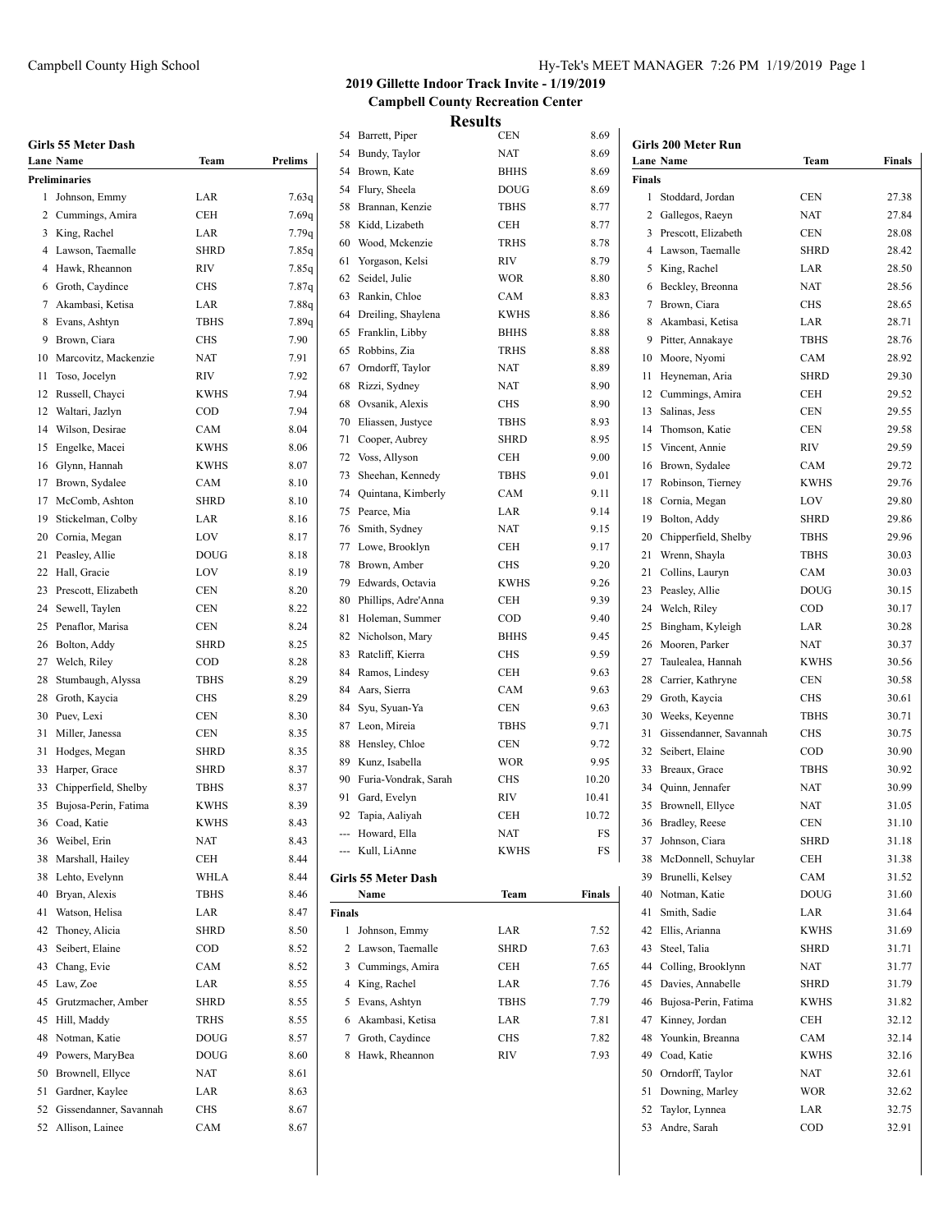|  |  | <b>Girls 55 Meter Dash</b> |  |  |
|--|--|----------------------------|--|--|
|--|--|----------------------------|--|--|

|    | Girls 55 Meter Dash<br>Lane Name | Team                       | Prelims |
|----|----------------------------------|----------------------------|---------|
|    | Preliminaries                    |                            |         |
| 1  | Johnson, Emmy                    | LAR                        | 7.63q   |
|    | 2 Cummings, Amira                | CEH                        | 7.69q   |
| 3  | King, Rachel                     | LAR                        | 7.79q   |
|    | 4 Lawson, Taemalle               | <b>SHRD</b>                | 7.85q   |
|    | 4 Hawk, Rheannon                 | RIV                        | 7.85q   |
|    | 6 Groth, Caydince                | <b>CHS</b>                 | 7.87q   |
|    | 7 Akambasi, Ketisa               | LAR                        | 7.88q   |
| 8  | Evans, Ashtyn                    | <b>TBHS</b>                | 7.89q   |
| 9  | Brown, Ciara                     | <b>CHS</b>                 | 7.90    |
| 10 | Marcovitz, Mackenzie             | <b>NAT</b>                 | 7.91    |
| 11 | Toso, Jocelyn                    | RIV                        | 7.92    |
| 12 | Russell, Chayci                  | <b>KWHS</b>                | 7.94    |
| 12 | Waltari, Jazlyn                  | COD                        | 7.94    |
| 14 | Wilson, Desirae                  | CAM                        | 8.04    |
| 15 | Engelke, Macei                   | <b>KWHS</b>                | 8.06    |
| 16 | Glynn, Hannah                    | <b>KWHS</b>                | 8.07    |
| 17 | Brown, Sydalee                   | CAM                        | 8.10    |
| 17 | McComb, Ashton                   | <b>SHRD</b>                | 8.10    |
| 19 | Stickelman, Colby                | LAR                        | 8.16    |
|    | 20 Cornia, Megan                 | LOV                        | 8.17    |
| 21 | Peasley, Allie                   | <b>DOUG</b>                | 8.18    |
| 22 | Hall, Gracie                     | LOV                        | 8.19    |
| 23 | Prescott, Elizabeth              | <b>CEN</b>                 | 8.20    |
| 24 | Sewell, Taylen                   | CEN                        | 8.22    |
| 25 | Penaflor, Marisa                 | CEN                        | 8.24    |
| 26 | Bolton, Addy                     | <b>SHRD</b>                | 8.25    |
| 27 | Welch, Riley                     | COD                        | 8.28    |
| 28 | Stumbaugh, Alyssa                | <b>TBHS</b>                | 8.29    |
| 28 | Groth, Kaycia                    | <b>CHS</b>                 | 8.29    |
| 30 | Puev, Lexi                       | <b>CEN</b>                 | 8.30    |
| 31 | Miller, Janessa                  | CEN                        | 8.35    |
| 31 | Hodges, Megan                    | <b>SHRD</b>                | 8.35    |
| 33 | Harper, Grace                    | <b>SHRD</b>                | 8.37    |
| 33 | Chipperfield, Shelby             | <b>TBHS</b>                | 8.37    |
| 35 | Bujosa-Perin, Fatima             | <b>KWHS</b>                | 8.39    |
| 36 | Coad, Katie                      | <b>KWHS</b>                | 8.43    |
|    | 36 Weibel, Erin                  | <b>NAT</b>                 | 8.43    |
| 38 | Marshall, Hailey                 | CEH                        | 8.44    |
| 38 | Lehto, Evelynn                   | WHLA                       | 8.44    |
| 40 | Bryan, Alexis                    | <b>TBHS</b>                | 8.46    |
| 41 | Watson, Helisa                   | LAR                        | 8.47    |
| 42 | Thoney, Alicia                   | SHRD                       | 8.50    |
| 43 | Seibert, Elaine                  | COD                        | 8.52    |
| 43 | Chang, Evie                      | CAM                        | 8.52    |
| 45 | Law, Zoe                         | LAR                        | 8.55    |
| 45 | Grutzmacher, Amber               | <b>SHRD</b>                | 8.55    |
| 45 | Hill, Maddy                      | TRHS                       | 8.55    |
| 48 | Notman, Katie                    |                            |         |
| 49 |                                  | <b>DOUG</b><br><b>DOUG</b> | 8.57    |
|    | Powers, MaryBea                  |                            | 8.60    |
| 50 | Brownell, Ellyce                 | NAT                        | 8.61    |
| 51 | Gardner, Kaylee                  | LAR                        | 8.63    |
|    | 52 Gissendanner, Savannah        | CHS                        | 8.67    |
| 52 | Allison, Lainee                  | CAM                        | 8.67    |

# **2019 Gillette Indoor Track Invite - 1/19/2019 Campbell County Recreation Center**

|               |                      | <b>Results</b> |        |
|---------------|----------------------|----------------|--------|
| 54            | Barrett, Piper       | <b>CEN</b>     | 8.69   |
| 54            | Bundy, Taylor        | NAT            | 8.69   |
|               | 54 Brown, Kate       | <b>BHHS</b>    | 8.69   |
| 54            | Flury, Sheela        | <b>DOUG</b>    | 8.69   |
| 58            | Brannan, Kenzie      | <b>TBHS</b>    | 8.77   |
| 58            | Kidd, Lizabeth       | CEH            | 8.77   |
| 60            | Wood, Mckenzie       | <b>TRHS</b>    | 8.78   |
| 61            | Yorgason, Kelsi      | RIV            | 8.79   |
| 62            | Seidel, Julie        | <b>WOR</b>     | 8.80   |
| 63            | Rankin, Chloe        | CAM            | 8.83   |
| 64            | Dreiling, Shaylena   | <b>KWHS</b>    | 8.86   |
| 65            | Franklin, Libby      | <b>BHHS</b>    | 8.88   |
| 65            | Robbins, Zia         | <b>TRHS</b>    | 8.88   |
| 67            | Orndorff, Taylor     | <b>NAT</b>     | 8.89   |
| 68            | Rizzi, Sydney        | <b>NAT</b>     | 8.90   |
| 68            | Ovsanik, Alexis      | CHS            | 8.90   |
| 70            | Eliassen, Justyce    | <b>TBHS</b>    | 8.93   |
| 71            | Cooper, Aubrey       | <b>SHRD</b>    | 8.95   |
| 72            | Voss, Allyson        | CEH            | 9.00   |
| 73            | Sheehan, Kennedy     | TBHS           | 9.01   |
| 74            | Quintana, Kimberly   | CAM            | 9.11   |
| 75            | Pearce, Mia          | LAR            | 9.14   |
| 76            | Smith, Sydney        | NAT            | 9.15   |
| 77            | Lowe, Brooklyn       | <b>CEH</b>     | 9.17   |
| 78            | Brown, Amber         | CHS            | 9.20   |
| 79            | Edwards, Octavia     | KWHS           | 9.26   |
| 80            | Phillips, Adre'Anna  | <b>CEH</b>     | 9.39   |
| 81            | Holeman, Summer      | COD            | 9.40   |
| 82            | Nicholson, Mary      | <b>BHHS</b>    | 9.45   |
| 83            | Ratcliff, Kierra     | CHS            | 9.59   |
| 84            | Ramos, Lindesy       | CEH            | 9.63   |
| 84            | Aars, Sierra         | CAM            | 9.63   |
| 84            | Syu, Syuan-Ya        | CEN            | 9.63   |
| 87            | Leon, Mireia         | TBHS           | 9.71   |
| 88            | Hensley, Chloe       | CEN            | 9.72   |
| 89            | Kunz, Isabella       | WOR            | 9.95   |
| 90            | Furia-Vondrak, Sarah | CHS            | 10.20  |
| 91            | Gard, Evelyn         | RIV            | 10.41  |
|               | 92 Tapia, Aaliyah    | CEH            | 10.72  |
|               | --- Howard, Ella     | NAT            | FS     |
|               | --- Kull, LiAnne     | KWHS           | FS     |
|               | Girls 55 Meter Dash  |                | Finals |
| <b>Finals</b> | Name                 | Team           |        |
| 1             | Johnson, Emmy        | LAR            | 7.52   |
| 2             | Lawson, Taemalle     | SHRD           | 7.63   |
| 3             | Cummings, Amira      | CEH            | 7.65   |
| 4             | King, Rachel         | LAR            | 7.76   |
| 5             | Evans, Ashtyn        | <b>TBHS</b>    | 7.79   |
| 6             | Akambasi, Ketisa     | LAR            | 7.81   |
| 7             | Groth, Caydince      | CHS            | 7.82   |
|               |                      |                |        |

8 Hawk, Rheannon RIV 7.93

|                | <b>Girls 200 Meter Run</b> |             |               |
|----------------|----------------------------|-------------|---------------|
|                | <b>Lane Name</b>           | Team        | <b>Finals</b> |
| <b>Finals</b>  |                            |             |               |
| 1              | Stoddard, Jordan           | <b>CEN</b>  | 27.38         |
| $\overline{2}$ | Gallegos, Raeyn            | <b>NAT</b>  | 27.84         |
| 3              | Prescott, Elizabeth        | <b>CEN</b>  | 28.08         |
| 4              | Lawson, Taemalle           | <b>SHRD</b> | 28.42         |
| 5              | King, Rachel               | LAR         | 28.50         |
| 6              | Beckley, Breonna           | <b>NAT</b>  | 28.56         |
| 7              | Brown, Ciara               | <b>CHS</b>  | 28.65         |
| 8              | Akambasi, Ketisa           | LAR         | 28.71         |
| 9              | Pitter, Annakaye           | <b>TBHS</b> | 28.76         |
| 10             | Moore, Nyomi               | CAM         | 28.92         |
| 11             | Heyneman, Aria             | <b>SHRD</b> | 29.30         |
| 12             | Cummings, Amira            | CEH         | 29.52         |
| 13             | Salinas, Jess              | <b>CEN</b>  | 29.55         |
| 14             | Thomson, Katie             | <b>CEN</b>  | 29.58         |
| 15             | Vincent, Annie             | <b>RIV</b>  | 29.59         |
| 16             | Brown, Sydalee             | CAM         | 29.72         |
| 17             | Robinson, Tierney          | <b>KWHS</b> | 29.76         |
| 18             | Cornia, Megan              | LOV         | 29.80         |
| 19             | Bolton, Addy               | <b>SHRD</b> | 29.86         |
| 20             | Chipperfield, Shelby       | <b>TBHS</b> | 29.96         |
| 21             | Wrenn, Shayla              | <b>TBHS</b> | 30.03         |
| 21             | Collins, Lauryn            | CAM         | 30.03         |
| 23             | Peasley, Allie             | <b>DOUG</b> | 30.15         |
| 24             | Welch, Riley               | COD         | 30.17         |
| 25             | Bingham, Kyleigh           | LAR         | 30.28         |
| 26             | Mooren, Parker             | <b>NAT</b>  | 30.37         |
| 27             | Taulealea, Hannah          | <b>KWHS</b> | 30.56         |
| 28             | Carrier, Kathryne          | <b>CEN</b>  | 30.58         |
| 29             | Groth, Kaycia              | <b>CHS</b>  | 30.61         |
| 30             | Weeks, Keyenne             | TBHS        | 30.71         |
| 31             | Gissendanner, Savannah     | <b>CHS</b>  | 30.75         |
| 32             | Seibert, Elaine            | COD         | 30.90         |
| 33             | Breaux, Grace              | <b>TBHS</b> | 30.92         |
| 34             | Quinn, Jennafer            | NAT         | 30.99         |
| 35             | Brownell, Ellyce           | <b>NAT</b>  | 31.05         |
| 36             | Bradley, Reese             | <b>CEN</b>  | 31.10         |
| 37             | Johnson, Ciara             | SHRD        | 31.18         |
| 38             | McDonnell, Schuylar        | CEH         | 31.38         |
| 39             | Brunelli, Kelsey           | CAM         | 31.52         |
| 40             | Notman, Katie              | <b>DOUG</b> | 31.60         |
| 41             | Smith, Sadie               | LAR         | 31.64         |
| 42             | Ellis, Arianna             | <b>KWHS</b> | 31.69         |
| 43             | Steel, Talia               | <b>SHRD</b> | 31.71         |
| 44             | Colling, Brooklynn         | NAT         | 31.77         |
| 45             | Davies, Annabelle          | SHRD        | 31.79         |
| 46             | Bujosa-Perin, Fatima       | KWHS        | 31.82         |
| 47             | Kinney, Jordan             | CEH         | 32.12         |
| 48             | Younkin, Breanna           | CAM         | 32.14         |
| 49             | Coad, Katie                | KWHS        | 32.16         |
| 50             | Orndorff, Taylor           | NAT         | 32.61         |
| 51             | Downing, Marley            | WOR         | 32.62         |
| 52             | Taylor, Lynnea             | LAR         | 32.75         |
| 53             | Andre, Sarah               | COD         | 32.91         |
|                |                            |             |               |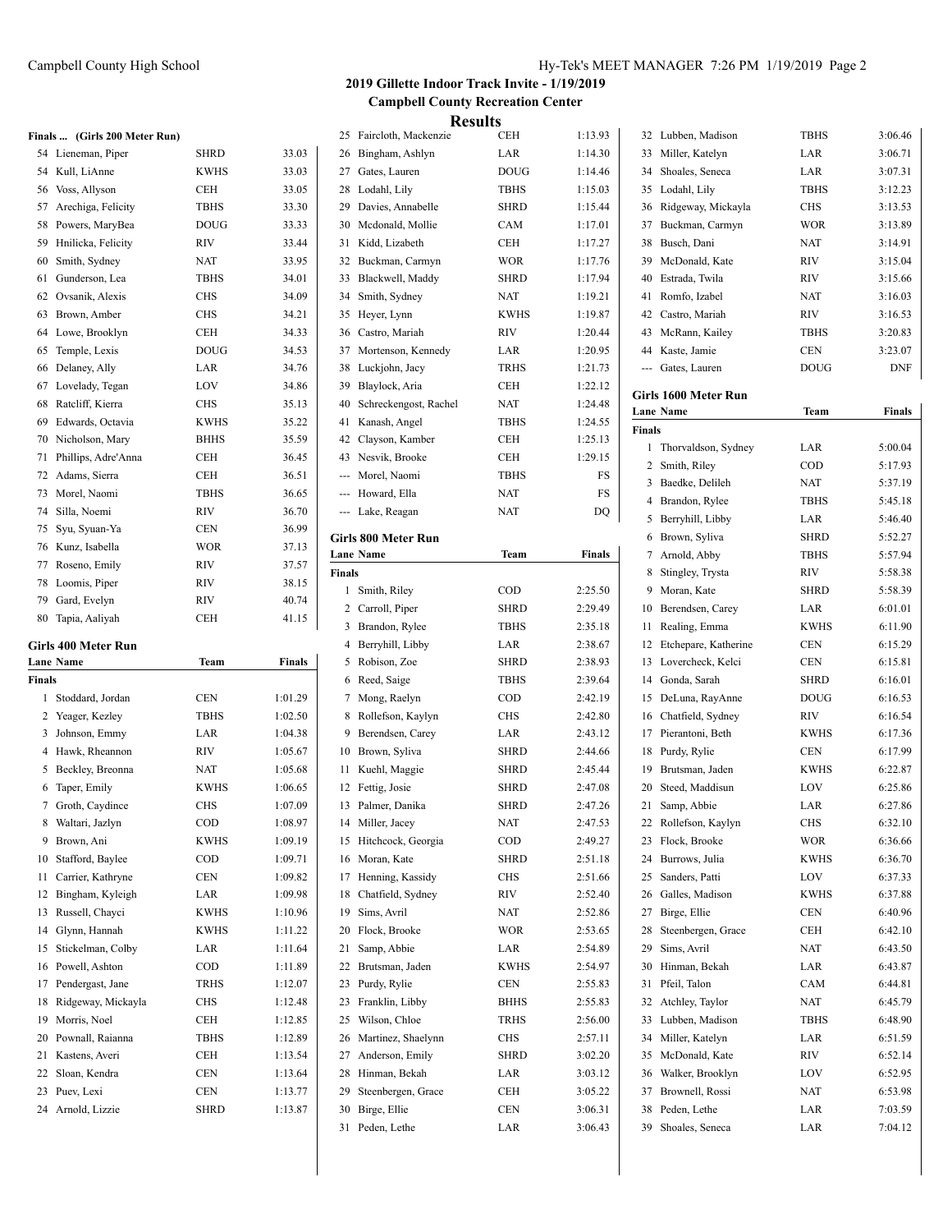### **Finals ... (Girls 200 Meter Run)**

|    | $\sqrt{9}$ m <sub>19</sub> 200 meter Rum |             |       |
|----|------------------------------------------|-------------|-------|
| 54 | Lieneman, Piper                          | <b>SHRD</b> | 33.03 |
| 54 | Kull, LiAnne                             | <b>KWHS</b> | 33.03 |
| 56 | Voss, Allyson                            | <b>CEH</b>  | 33.05 |
| 57 | Arechiga, Felicity                       | <b>TBHS</b> | 33.30 |
| 58 | Powers, MaryBea                          | <b>DOUG</b> | 33.33 |
| 59 | Hnilicka, Felicity                       | <b>RIV</b>  | 33.44 |
| 60 | Smith, Sydney                            | <b>NAT</b>  | 33.95 |
| 61 | Gunderson, Lea                           | <b>TBHS</b> | 34.01 |
| 62 | Ovsanik, Alexis                          | <b>CHS</b>  | 34.09 |
| 63 | Brown, Amber                             | <b>CHS</b>  | 34.21 |
| 64 | Lowe, Brooklyn                           | <b>CEH</b>  | 34.33 |
| 65 | Temple, Lexis                            | <b>DOUG</b> | 34.53 |
| 66 | Delaney, Ally                            | LAR         | 34.76 |
| 67 | Lovelady, Tegan                          | LOV         | 34.86 |
| 68 | Ratcliff, Kierra                         | <b>CHS</b>  | 35.13 |
| 69 | Edwards, Octavia                         | <b>KWHS</b> | 35.22 |
| 70 | Nicholson, Mary                          | <b>BHHS</b> | 35.59 |
| 71 | Phillips, Adre'Anna                      | <b>CEH</b>  | 36.45 |
| 72 | Adams, Sierra                            | <b>CEH</b>  | 36.51 |
| 73 | Morel, Naomi                             | <b>TBHS</b> | 36.65 |
| 74 | Silla, Noemi                             | <b>RIV</b>  | 36.70 |
| 75 | Svu, Svuan-Ya                            | <b>CEN</b>  | 36.99 |
| 76 | Kunz, Isabella                           | <b>WOR</b>  | 37.13 |
| 77 | Roseno, Emily                            | <b>RIV</b>  | 37.57 |
| 78 | Loomis, Piper                            | <b>RIV</b>  | 38.15 |
| 79 | Gard, Evelyn                             | <b>RIV</b>  | 40.74 |
| 80 | Tapia, Aaliyah                           | <b>CEH</b>  | 41.15 |

### **Girls 400 Meter Run**

|                        |                  | <b>Finals</b> |
|------------------------|------------------|---------------|
| <b>Finals</b>          |                  |               |
| Stoddard, Jordan       | <b>CEN</b>       | 1:01.29       |
| Yeager, Kezley         | <b>TBHS</b>      | 1:02.50       |
| Johnson, Emmy          | LAR              | 1:04.38       |
| Hawk, Rheannon         | RIV.             | 1:05.67       |
| Beckley, Breonna       | NAT              | 1:05.68       |
| Taper, Emily           | <b>KWHS</b>      | 1:06.65       |
| Groth, Caydince        | <b>CHS</b>       | 1:07.09       |
| Waltari, Jazlyn        | COD              | 1:08.97       |
| Brown, Ani             | <b>KWHS</b>      | 1:09.19       |
| Stafford, Baylee       | <b>COD</b>       | 1:09.71       |
| Carrier, Kathryne      | <b>CEN</b>       | 1:09.82       |
| Bingham, Kyleigh       | LAR              | 1:09.98       |
| Russell, Chayci        | <b>KWHS</b>      | 1:10.96       |
| Glynn, Hannah          | <b>KWHS</b>      | 1:11.22       |
| Stickelman, Colby      | LAR              | 1:11.64       |
| Powell, Ashton         | COD              | 1:11.89       |
| Pendergast, Jane<br>17 | <b>TRHS</b>      | 1:12.07       |
| Ridgeway, Mickayla     | <b>CHS</b>       | 1:12.48       |
| Morris, Noel           | CEH              | 1:12.85       |
| Pownall, Raianna       | <b>TBHS</b>      | 1:12.89       |
| Kastens, Averi         | CEH              | 1:13.54       |
| Sloan, Kendra<br>22    | CEN              | 1:13.64       |
| Puev, Lexi             | CEN              | 1:13.77       |
| 24 Arnold, Lizzie      | <b>SHRD</b>      | 1:13.87       |
|                        | <b>Lane Name</b> | Team          |

# **2019 Gillette Indoor Track Invite - 1/19/2019 Campbell County Recreation Center**

|          |                                    | <b>Results</b> |                    |
|----------|------------------------------------|----------------|--------------------|
| 25       | Faircloth, Mackenzie               | <b>CEH</b>     | 1:13.93            |
| 26       | Bingham, Ashlyn                    | LAR            | 1:14.30            |
| 27       | Gates, Lauren                      | <b>DOUG</b>    | 1:14.46            |
| 28       | Lodahl, Lily                       | <b>TBHS</b>    | 1:15.03            |
| 29       | Davies, Annabelle                  | <b>SHRD</b>    | 1:15.44            |
| 30       | Mcdonald, Mollie                   | CAM            | 1:17.01            |
| 31       | Kidd, Lizabeth                     | CEH            | 1:17.27            |
| 32       | Buckman, Carmyn                    | <b>WOR</b>     | 1:17.76            |
| 33       | Blackwell, Maddy                   | <b>SHRD</b>    | 1:17.94            |
| 34       | Smith, Sydney                      | <b>NAT</b>     | 1:19.21            |
| 35       | Heyer, Lynn                        | <b>KWHS</b>    | 1:19.87            |
| 36       | Castro, Mariah                     | RIV            | 1:20.44            |
| 37       | Mortenson, Kennedy                 | LAR            | 1:20.95            |
| 38       | Luckjohn, Jacy                     | <b>TRHS</b>    | 1:21.73            |
| 39       | Blaylock, Aria                     | CEH            | 1:22.12            |
| 40       | Schreckengost, Rachel              | <b>NAT</b>     | 1:24.48            |
| 41       | Kanash, Angel                      | <b>TBHS</b>    | 1:24.55            |
| 42       | Clayson, Kamber                    | <b>CEH</b>     | 1:25.13            |
| 43       | Nesvik, Brooke                     | CEH            | 1:29.15            |
| ---      | Morel, Naomi                       | <b>TBHS</b>    | FS                 |
| ---      | Howard, Ella                       | NAT            | FS                 |
| ---      | Lake, Reagan                       | NAT            | DQ                 |
|          | Girls 800 Meter Run                |                |                    |
|          | <b>Lane Name</b>                   | Team           | Finals             |
| Finals   |                                    |                |                    |
| 1        | Smith, Riley                       | COD            | 2:25.50            |
| 2        | Carroll, Piper                     | <b>SHRD</b>    | 2:29.49            |
| 3        | Brandon, Rylee                     | TBHS           | 2:35.18            |
| 4        | Berryhill, Libby                   | LAR            | 2:38.67            |
| 5        | Robison, Zoe                       | <b>SHRD</b>    | 2:38.93            |
| 6        | Reed, Saige                        | TBHS           | 2:39.64            |
| 7        | Mong, Raelyn                       | COD            | 2:42.19            |
| 8        | Rollefson, Kaylyn                  | <b>CHS</b>     | 2:42.80            |
| 9        | Berendsen, Carey                   | LAR            | 2:43.12            |
| 10       | Brown, Syliva                      | SHRD           | 2:44.66            |
| 11       | Kuehl, Maggie                      | SHRD           | 2:45.44            |
| 12       | Fettig, Josie                      | <b>SHRD</b>    | 2:47.08            |
| 13       | Palmer, Danika                     | SHRD           | 2:47.26            |
| 14       | Miller, Jacey                      | NAT            | 2:47.53            |
| 15       | Hitchcock, Georgia                 | COD            | 2:49.27            |
| 16       | Moran, Kate                        | <b>SHRD</b>    | 2:51.18            |
| 17       | Henning, Kassidy                   | CHS            | 2:51.66            |
| 18       | Chatfield, Sydney                  | RIV            | 2:52.40            |
| 19       | Sims, Avril                        | NAT            | 2:52.86            |
| 20       | Flock, Brooke                      | <b>WOR</b>     | 2:53.65            |
| 21       | Samp, Abbie                        | LAR            | 2:54.89            |
| 22       | Brutsman, Jaden                    | <b>KWHS</b>    | 2:54.97            |
| 23       | Purdy, Rylie                       | CEN            | 2:55.83            |
| 23       |                                    |                |                    |
|          | Franklin, Libby                    | <b>BHHS</b>    | 2:55.83            |
| 25       | Wilson, Chloe                      | TRHS           | 2:56.00            |
| 26       | Martinez, Shaelynn                 | CHS            | 2:57.11            |
| 27       | Anderson, Emily                    | SHRD           | 3:02.20            |
| 28       | Hinman, Bekah                      | LAR            | 3:03.12            |
| 29<br>30 | Steenbergen, Grace<br>Birge, Ellie | CEH<br>CEN     | 3:05.22<br>3:06.31 |

| 32            | Lubben, Madison                 | TBHS        | 3:06.46            |
|---------------|---------------------------------|-------------|--------------------|
| 33            | Miller, Katelyn                 | LAR         | 3:06.71            |
| 34            | Shoales, Seneca                 | LAR         | 3:07.31            |
| 35            | Lodahl, Lily                    | <b>TBHS</b> | 3:12.23            |
| 36            | Ridgeway, Mickayla              | <b>CHS</b>  | 3:13.53            |
| 37            | Buckman, Carmyn                 | <b>WOR</b>  | 3:13.89            |
| 38            | Busch, Dani                     | <b>NAT</b>  | 3:14.91            |
| 39            | McDonald, Kate                  | <b>RIV</b>  | 3:15.04            |
| 40            | Estrada, Twila                  | <b>RIV</b>  | 3:15.66            |
| 41            | Romfo, Izabel                   | <b>NAT</b>  | 3:16.03            |
| 42            | Castro, Mariah                  | <b>RIV</b>  | 3:16.53            |
| 43            | McRann, Kailey                  | <b>TBHS</b> | 3:20.83            |
|               | 44 Kaste, Jamie                 | <b>CEN</b>  | 3:23.07            |
|               | --- Gates, Lauren               | <b>DOUG</b> | DNF                |
|               | Girls 1600 Meter Run            |             |                    |
|               | <b>Lane Name</b>                | Team        | <b>Finals</b>      |
| <b>Finals</b> |                                 |             |                    |
| 1             | Thorvaldson, Sydney             | LAR         | 5:00.04            |
| 2             | Smith, Riley                    | COD         | 5:17.93            |
| 3             | Baedke, Delileh                 | NAT         | 5:37.19            |
| 4             | Brandon, Rylee                  | <b>TBHS</b> | 5:45.18            |
| 5             | Berryhill, Libby                | LAR         | 5:46.40            |
| 6             | Brown, Syliva                   | <b>SHRD</b> | 5:52.27            |
| 7             | Arnold, Abby                    | TBHS        | 5:57.94            |
| 8             | Stingley, Trysta                | <b>RIV</b>  | 5:58.38            |
| 9             | Moran, Kate                     | <b>SHRD</b> | 5:58.39            |
| 10            | Berendsen, Carey                | LAR         | 6:01.01            |
| 11            | Realing, Emma                   | <b>KWHS</b> | 6:11.90            |
| 12            | Etchepare, Katherine            | <b>CEN</b>  | 6:15.29            |
| 13            | Lovercheck, Kelci               | <b>CEN</b>  | 6:15.81            |
| 14            | Gonda, Sarah                    | <b>SHRD</b> | 6:16.01            |
| 15            | DeLuna, RayAnne                 | <b>DOUG</b> | 6:16.53            |
| 16            | Chatfield, Sydney               | RIV         | 6:16.54            |
| 17            | Pierantoni, Beth                | <b>KWHS</b> | 6:17.36            |
| 18            | Purdy, Rylie                    | CEN         | 6:17.99            |
| 19            | Brutsman, Jaden                 | KWHS        | 6:22.87            |
| 20            | Steed, Maddisun                 | LOV         | 6:25.86            |
| 21            | Samp, Abbie                     | LAR         | 6:27.86            |
| 22            | Rollefson, Kaylyn               | <b>CHS</b>  | 6:32.10            |
| 23            | Flock, Brooke                   | WOR         | 6:36.66            |
| 24            | Burrows, Julia                  | KWHS        | 6:36.70            |
| 25            | Sanders, Patti                  | LOV         | 6:37.33            |
| 26            | Galles, Madison                 | KWHS        | 6:37.88            |
| 27            | Birge, Ellie                    | CEN         | 6:40.96            |
| 28            | Steenbergen, Grace              | CEH         | 6:42.10            |
| 29            | Sims, Avril                     | NAT<br>LAR  | 6:43.50            |
| 30            | Hinman, Bekah                   |             | 6:43.87            |
| 31<br>32      | Pfeil, Talon<br>Atchley, Taylor | CAM<br>NAT  | 6:44.81<br>6:45.79 |
| 33            | Lubben, Madison                 | TBHS        | 6:48.90            |
| 34            | Miller, Katelyn                 | LAR         | 6:51.59            |
| 35            | McDonald, Kate                  | RIV         | 6:52.14            |
| 36            | Walker, Brooklyn                | LOV         | 6:52.95            |
| 37            | Brownell, Rossi                 | NAT         | 6:53.98            |
| 38            | Peden, Lethe                    | LAR         | 7:03.59            |
| 39            | Shoales, Seneca                 | LAR         | 7:04.12            |
|               |                                 |             |                    |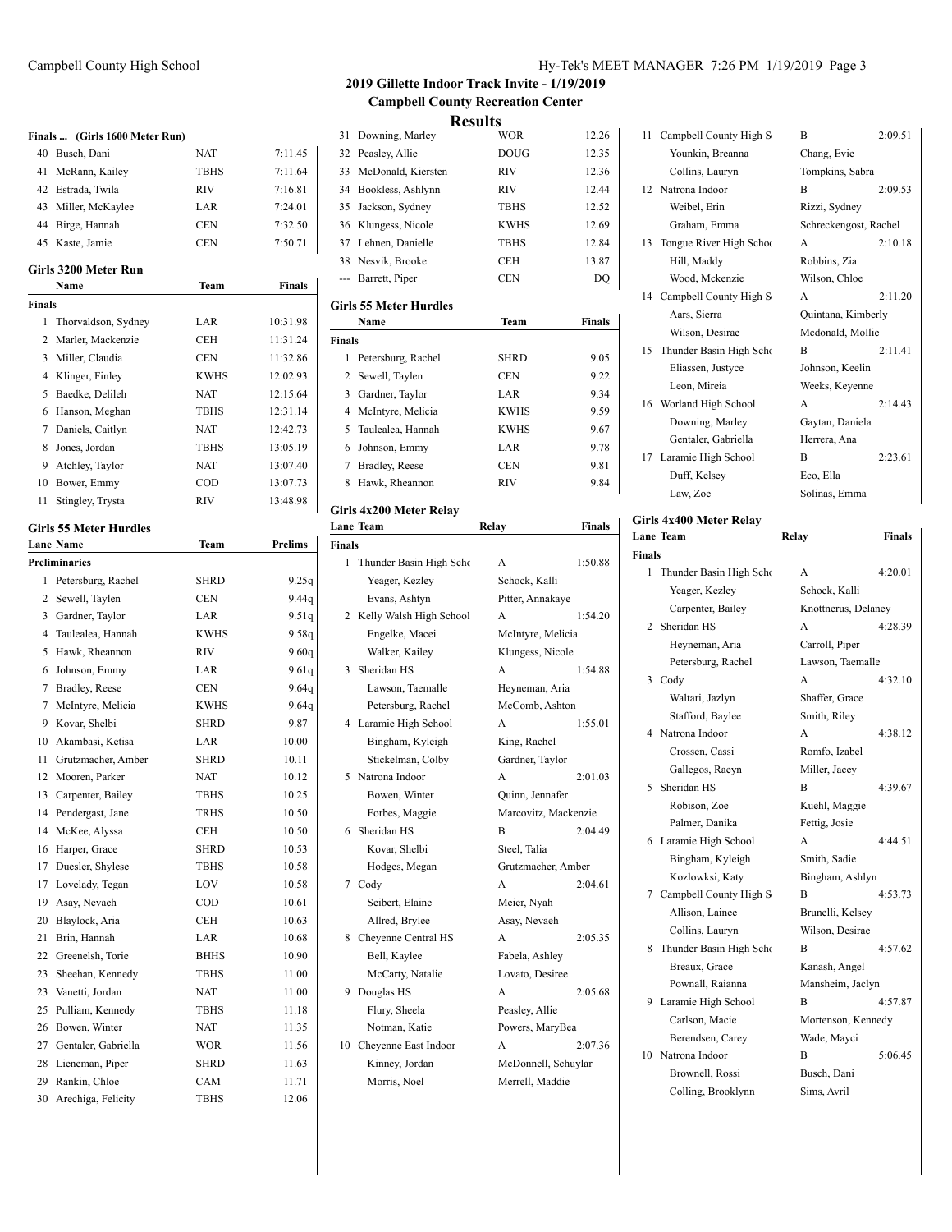|               | Finals  (Girls 1600 Meter Run)         |                            |                |
|---------------|----------------------------------------|----------------------------|----------------|
| 40            | Busch, Dani                            | NAT                        | 7:11.45        |
| 41            | McRann, Kailey                         | <b>TBHS</b>                | 7:11.64        |
| 42            | Estrada, Twila                         | RIV                        | 7:16.81        |
| 43            | Miller, McKaylee                       | LAR                        | 7:24.01        |
| 44            | Birge, Hannah                          | <b>CEN</b>                 | 7:32.50        |
| 45            | Kaste, Jamie                           | <b>CEN</b>                 | 7:50.71        |
|               | <b>Girls 3200 Meter Run</b><br>Name    | Team                       | <b>Finals</b>  |
| <b>Finals</b> |                                        |                            |                |
| 1             | Thorvaldson, Sydney                    | LAR                        | 10:31.98       |
| 2             | Marler, Mackenzie                      | CEH                        | 11:31.24       |
| 3             | Miller, Claudia                        | <b>CEN</b>                 | 11:32.86       |
| 4             | Klinger, Finley                        | <b>KWHS</b>                | 12:02.93       |
| 5             | Baedke, Delileh                        | <b>NAT</b>                 | 12:15.64       |
| 6             | Hanson, Meghan                         | <b>TBHS</b>                | 12:31.14       |
| 7             | Daniels, Caitlyn                       | NAT                        | 12:42.73       |
| 8             | Jones, Jordan                          | <b>TBHS</b>                | 13:05.19       |
| 9             | Atchley, Taylor                        | <b>NAT</b>                 | 13:07.40       |
| 10            | Bower, Emmy                            | COD                        | 13:07.73       |
| 11            | Stingley, Trysta                       | RIV                        | 13:48.98       |
|               |                                        |                            |                |
|               | <b>Girls 55 Meter Hurdles</b>          |                            |                |
|               | <b>Lane Name</b>                       | Team                       | <b>Prelims</b> |
|               | <b>Preliminaries</b>                   |                            |                |
| 1             | Petersburg, Rachel                     | SHRD                       | 9.25q          |
| 2             | Sewell, Taylen                         | <b>CEN</b>                 | 9.44q          |
| 3             | Gardner, Taylor                        | LAR                        | 9.51q          |
| 4             | Taulealea, Hannah                      | <b>KWHS</b>                | 9.58q          |
| 5             | Hawk, Rheannon                         | <b>RIV</b>                 | 9.60q          |
| 6             | Johnson, Emmy                          | LAR                        | 9.61q          |
| 7             | Bradley, Reese                         | <b>CEN</b>                 | 9.64q          |
| 7             | McIntyre, Melicia                      | <b>KWHS</b><br><b>SHRD</b> | 9.64q          |
| 9             | Kovar, Shelbi                          |                            | 9.87           |
| 10<br>11      | Akambasi, Ketisa<br>Grutzmacher, Amber | LAR<br><b>SHRD</b>         | 10.00          |
| 12            | Mooren, Parker                         | NAT                        | 10.11<br>10.12 |
| 13            | Carpenter, Bailey                      | <b>TBHS</b>                | 10.25          |
| 14            | Pendergast, Jane                       | <b>TRHS</b>                | 10.50          |
| 14            | McKee, Alyssa                          | <b>CEH</b>                 | 10.50          |
| 16            | Harper, Grace                          | <b>SHRD</b>                | 10.53          |
| 17            | Duesler, Shylese                       | TBHS                       | 10.58          |
| 17            | Lovelady, Tegan                        | LOV                        | 10.58          |
| 19            | Asay, Nevaeh                           | COD                        | 10.61          |
| 20            | Blaylock, Aria                         | <b>CEH</b>                 | 10.63          |
| 21            | Brin, Hannah                           | LAR                        | 10.68          |
| 22            | Greenelsh, Torie                       | <b>BHHS</b>                | 10.90          |
| 23            | Sheehan, Kennedy                       | TBHS                       | 11.00          |
| 23            | Vanetti, Jordan                        | <b>NAT</b>                 | 11.00          |
| 25            | Pulliam, Kennedy                       | <b>TBHS</b>                | 11.18          |
| 26            | Bowen, Winter                          | NAT                        | 11.35          |
| 27            | Gentaler, Gabriella                    | <b>WOR</b>                 | 11.56          |
| 28            | Lieneman, Piper                        | <b>SHRD</b>                | 11.63          |
| 29            | Rankin, Chloe                          | CAM                        | 11.71          |

30 Arechiga, Felicity TBHS 12.06

## Campbell County High School Hy-Tek's MEET MANAGER 7:26 PM 1/19/2019 Page 3

i.

## **2019 Gillette Indoor Track Invite - 1/19/2019 Campbell County Recreation Center Results**

| 31             | Downing, Marley               | <b>WOR</b>    | 12.26         |
|----------------|-------------------------------|---------------|---------------|
| 32             | Peasley, Allie                | <b>DOUG</b>   | 12.35         |
| 33             | McDonald, Kiersten            | <b>RIV</b>    | 12.36         |
| 34             | Bookless, Ashlynn             | <b>RIV</b>    | 12.44         |
| 35             | Jackson, Sydney               | <b>TBHS</b>   | 12.52         |
|                | 36 Klungess, Nicole           | <b>KWHS</b>   | 12.69         |
| 37             | Lehnen, Danielle              | <b>TBHS</b>   | 12.84         |
|                | 38 Nesvik, Brooke             | <b>CEH</b>    | 13.87         |
| ---            | Barrett, Piper                | <b>CEN</b>    | DO            |
|                | <b>Girls 55 Meter Hurdles</b> |               |               |
|                | Name                          | Team          | <b>Finals</b> |
| <b>Finals</b>  |                               |               |               |
| 1              | Petersburg, Rachel            | <b>SHRD</b>   | 9.05          |
| $\overline{c}$ | Sewell, Taylen                | <b>CEN</b>    | 9.22          |
| 3              | Gardner, Taylor               | LAR           | 9.34          |
| 4              | McIntyre, Melicia             | <b>KWHS</b>   | 9.59          |
| 5              | Taulealea, Hannah             | <b>KWHS</b>   | 9.67          |
| 6              | Johnson, Emmy                 | LAR           | 9.78          |
| 7              | Bradley, Reese                | <b>CEN</b>    | 9.81          |
| 8              | Hawk, Rheannon                | <b>RIV</b>    | 9.84          |
|                | Girls 4x200 Meter Relay       |               |               |
|                | Lane Team                     | Relay         | <b>Finals</b> |
| <b>Finals</b>  |                               |               |               |
| 1              | Thunder Basin High Scho       | A             | 1:50.88       |
|                | Yeager, Kezley                | Schock, Kalli |               |

| Thunder Basin High Scho | A              | 1:50.88                                                                                                                                                                                                                                                                   |
|-------------------------|----------------|---------------------------------------------------------------------------------------------------------------------------------------------------------------------------------------------------------------------------------------------------------------------------|
| Yeager, Kezley          | Schock, Kalli  |                                                                                                                                                                                                                                                                           |
| Evans, Ashtyn           |                |                                                                                                                                                                                                                                                                           |
| Kelly Walsh High School | A              | 1:54.20                                                                                                                                                                                                                                                                   |
| Engelke, Macei          |                |                                                                                                                                                                                                                                                                           |
| Walker, Kailey          |                |                                                                                                                                                                                                                                                                           |
| Sheridan HS             | A              | 1:54.88                                                                                                                                                                                                                                                                   |
| Lawson, Taemalle        |                |                                                                                                                                                                                                                                                                           |
| Petersburg, Rachel      |                |                                                                                                                                                                                                                                                                           |
| Laramie High School     | A              | 1:55.01                                                                                                                                                                                                                                                                   |
| Bingham, Kyleigh        | King, Rachel   |                                                                                                                                                                                                                                                                           |
| Stickelman, Colby       |                |                                                                                                                                                                                                                                                                           |
| Natrona Indoor          | A              | 2:01.03                                                                                                                                                                                                                                                                   |
| Bowen, Winter           |                |                                                                                                                                                                                                                                                                           |
| Forbes, Maggie          |                |                                                                                                                                                                                                                                                                           |
| Sheridan HS             | R              | 2:04.49                                                                                                                                                                                                                                                                   |
| Kovar, Shelbi           | Steel, Talia   |                                                                                                                                                                                                                                                                           |
| Hodges, Megan           |                |                                                                                                                                                                                                                                                                           |
| Cody<br>7               | A              | 2:04.61                                                                                                                                                                                                                                                                   |
| Seibert, Elaine         | Meier, Nyah    |                                                                                                                                                                                                                                                                           |
| Allred, Brylee          | Asay, Nevaeh   |                                                                                                                                                                                                                                                                           |
| Cheyenne Central HS     | A              | 2:05.35                                                                                                                                                                                                                                                                   |
| Bell, Kaylee            |                |                                                                                                                                                                                                                                                                           |
| McCarty, Natalie        |                |                                                                                                                                                                                                                                                                           |
| Douglas HS              | A              | 2:05.68                                                                                                                                                                                                                                                                   |
| Flury, Sheela           | Peasley, Allie |                                                                                                                                                                                                                                                                           |
| Notman, Katie           |                |                                                                                                                                                                                                                                                                           |
| Cheyenne East Indoor    | A              | 2:07.36                                                                                                                                                                                                                                                                   |
| Kinney, Jordan          |                |                                                                                                                                                                                                                                                                           |
|                         |                |                                                                                                                                                                                                                                                                           |
|                         |                | ınaıs<br>Pitter, Annakaye<br>McIntyre, Melicia<br>Klungess, Nicole<br>Heyneman, Aria<br>McComb, Ashton<br>Gardner, Taylor<br>Quinn, Jennafer<br>Marcovitz, Mackenzie<br>Grutzmacher, Amber<br>Fabela, Ashley<br>Lovato, Desiree<br>Powers, MaryBea<br>McDonnell, Schuylar |

| 11 Campbell County High S   | B                     | 2:09.51 |
|-----------------------------|-----------------------|---------|
| Younkin, Breanna            | Chang, Evie           |         |
| Collins, Lauryn             | Tompkins, Sabra       |         |
| 12 Natrona Indoor           | B                     | 2:09.53 |
| Weibel, Erin                | Rizzi, Sydney         |         |
| Graham, Emma                | Schreckengost, Rachel |         |
| 13 Tongue River High School | A                     | 2:10.18 |
| Hill, Maddy                 | Robbins, Zia          |         |
| Wood, Mckenzie              | Wilson, Chloe         |         |
| 14 Campbell County High S   | A                     | 2:11.20 |
| Aars, Sierra                | Quintana, Kimberly    |         |
| Wilson, Desirae             | Mcdonald, Mollie      |         |
| 15 Thunder Basin High Scho  | R                     | 2:11.41 |
| Eliassen, Justyce           | Johnson, Keelin       |         |
| Leon, Mireia                | Weeks, Keyenne        |         |
| 16 Worland High School      | A                     | 2:14.43 |
| Downing, Marley             | Gaytan, Daniela       |         |
| Gentaler, Gabriella         | Herrera, Ana          |         |
| 17 Laramie High School      | B                     | 2:23.61 |
| Duff, Kelsey                | Eco, Ella             |         |
| Law, Zoe                    | Solinas, Emma         |         |

## **Girls 4x400 Meter Relay**

|        | <b>Lane Team</b>        | Relay               | Finals  |
|--------|-------------------------|---------------------|---------|
| Finals |                         |                     |         |
| 1      | Thunder Basin High Scho | A                   | 4:20.01 |
|        | Yeager, Kezley          | Schock, Kalli       |         |
|        | Carpenter, Bailey       | Knottnerus, Delaney |         |
| 2      | Sheridan HS             | A                   | 4:28.39 |
|        | Heyneman, Aria          | Carroll, Piper      |         |
|        | Petersburg, Rachel      | Lawson, Taemalle    |         |
| 3      | Cody                    | A                   | 4:32.10 |
|        | Waltari, Jazlyn         | Shaffer, Grace      |         |
|        | Stafford, Baylee        | Smith, Riley        |         |
| 4      | Natrona Indoor          | A                   | 4:38.12 |
|        | Crossen, Cassi          | Romfo, Izabel       |         |
|        | Gallegos, Raeyn         | Miller, Jacey       |         |
| 5      | Sheridan HS             | B                   | 4:39.67 |
|        | Robison, Zoe            | Kuehl, Maggie       |         |
|        | Palmer, Danika          | Fettig, Josie       |         |
| 6      | Laramie High School     | A                   | 4:44.51 |
|        | Bingham, Kyleigh        | Smith, Sadie        |         |
|        | Kozlowksi, Katy         | Bingham, Ashlyn     |         |
| 7      | Campbell County High S  | B                   | 4:53.73 |
|        | Allison, Lainee         | Brunelli, Kelsey    |         |
|        | Collins, Lauryn         | Wilson, Desirae     |         |
| 8      | Thunder Basin High Scho | B                   | 4:57.62 |
|        | Breaux, Grace           | Kanash, Angel       |         |
|        | Pownall, Raianna        | Mansheim, Jaclyn    |         |
| 9      | Laramie High School     | B                   | 4:57.87 |
|        | Carlson, Macie          | Mortenson, Kennedy  |         |
|        | Berendsen, Carey        | Wade, Mayci         |         |
|        | 10 Natrona Indoor       | B                   | 5:06.45 |
|        | Brownell, Rossi         | Busch, Dani         |         |
|        | Colling, Brooklynn      | Sims, Avril         |         |
|        |                         |                     |         |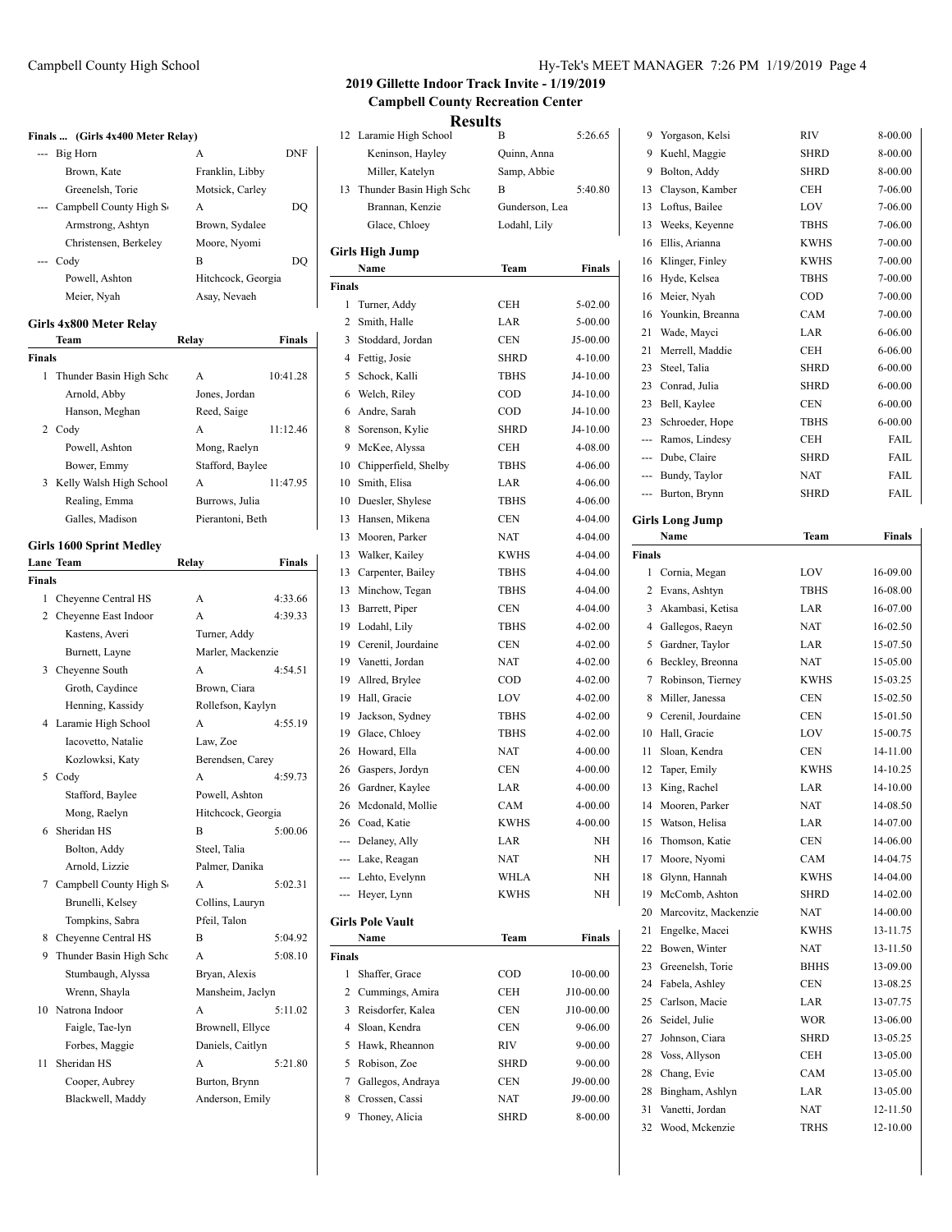### **Finals ... (Girls 4x400 Meter Relay)**

|          | Big Horn               | А                  | DNF |
|----------|------------------------|--------------------|-----|
|          | Brown, Kate            | Franklin, Libby    |     |
|          | Greenelsh, Torie       | Motsick, Carley    |     |
| $\cdots$ | Campbell County High S | А                  | DO. |
|          | Armstrong, Ashtyn      | Brown, Sydalee     |     |
|          | Christensen, Berkeley  | Moore, Nyomi       |     |
|          | Codv                   | В                  | DO. |
|          | Powell, Ashton         | Hitchcock, Georgia |     |
|          | Meier, Nyah            | Asay, Nevaeh       |     |
|          |                        |                    |     |

### **Girls 4x800 Meter Relay**

|        | Team                    | Relav            | <b>Finals</b> |
|--------|-------------------------|------------------|---------------|
| Finals |                         |                  |               |
| 1      | Thunder Basin High Scho | A                | 10:41.28      |
|        | Arnold, Abby            | Jones, Jordan    |               |
|        | Hanson, Meghan          | Reed, Saige      |               |
| 2      | Codv                    | A                | 11:12.46      |
|        | Powell, Ashton          | Mong, Raelyn     |               |
|        | Bower, Emmy             | Stafford, Baylee |               |
| 3      | Kelly Walsh High School | A                | 11:47.95      |
|        | Realing, Emma           | Burrows, Julia   |               |
|        | Galles. Madison         | Pierantoni, Beth |               |

## **Girls 1600 Sprint Medley**

|               | Lane Team                 | Relay              | <b>Finals</b> |
|---------------|---------------------------|--------------------|---------------|
| <b>Finals</b> |                           |                    |               |
|               | 1 Cheyenne Central HS     | A                  | 4:33.66       |
|               | 2 Cheyenne East Indoor    | A                  | 4:39.33       |
|               | Kastens, Averi            | Turner, Addy       |               |
|               | Burnett, Layne            | Marler, Mackenzie  |               |
|               | 3 Cheyenne South          | A                  | 4:54.51       |
|               | Groth, Caydince           | Brown, Ciara       |               |
|               | Henning, Kassidy          | Rollefson, Kaylyn  |               |
|               | 4 Laramie High School     | A                  | 4:55.19       |
|               | Iacovetto, Natalie        | Law, Zoe           |               |
|               | Kozlowksi, Katy           | Berendsen, Carey   |               |
|               | 5 Cody                    | A                  | 4:59.73       |
|               | Stafford, Baylee          | Powell, Ashton     |               |
|               | Mong, Raelyn              | Hitchcock, Georgia |               |
| 6             | Sheridan HS               | B                  | 5:00.06       |
|               | Bolton, Addy              | Steel, Talia       |               |
|               | Arnold, Lizzie            | Palmer, Danika     |               |
|               | 7 Campbell County High S  | A                  | 5:02.31       |
|               | Brunelli, Kelsey          | Collins, Lauryn    |               |
|               | Tompkins, Sabra           | Pfeil, Talon       |               |
| 8             | Cheyenne Central HS       | B                  | 5:04.92       |
|               | 9 Thunder Basin High Scho | A                  | 5:08.10       |
|               | Stumbaugh, Alyssa         | Bryan, Alexis      |               |
|               | Wrenn, Shayla             | Mansheim, Jaclyn   |               |
| 10            | Natrona Indoor            | A                  | 5:11.02       |
|               | Faigle, Tae-lyn           | Brownell, Ellyce   |               |
|               | Forbes, Maggie            | Daniels, Caitlyn   |               |
| 11            | Sheridan HS               | A                  | 5:21.80       |
|               | Cooper, Aubrey            | Burton, Brynn      |               |
|               | Blackwell, Maddy          | Anderson, Emily    |               |
|               |                           |                    |               |

## Campbell County High School Hy-Tek's MEET MANAGER 7:26 PM 1/19/2019 Page 4

Yorgason, Kelsi RIV 8-00.00

# **2019 Gillette Indoor Track Invite - 1/19/2019 Campbell County Recreation Center**

# **Results**

| 12            | Laramie High School     | В              | 5:26.65   |   |
|---------------|-------------------------|----------------|-----------|---|
|               | Keninson, Hayley        | Quinn, Anna    |           |   |
|               | Miller, Katelyn         | Samp, Abbie    |           |   |
| 13            | Thunder Basin High Schc | B              | 5:40.80   |   |
|               | Brannan, Kenzie         | Gunderson, Lea |           |   |
|               | Glace, Chloey           | Lodahl, Lily   |           |   |
|               | Girls High Jump         |                |           |   |
|               | Name                    | Team           | Finals    |   |
| <b>Finals</b> |                         |                |           |   |
| 1             | Turner, Addy            | CEH            | 5-02.00   |   |
| 2             | Smith, Halle            | LAR            | $5-00.00$ |   |
| 3             | Stoddard, Jordan        | <b>CEN</b>     | J5-00.00  |   |
| 4             | Fettig, Josie           | SHRD           | 4-10.00   |   |
| 5             | Schock, Kalli           | TBHS           | J4-10.00  |   |
| 6             | Welch, Riley            | $\rm{COD}$     | J4-10.00  |   |
| 6             | Andre, Sarah            | COD            | J4-10.00  |   |
| 8             | Sorenson, Kylie         | SHRD           | J4-10.00  |   |
| 9             | McKee, Alyssa           | CEH            | 4-08.00   |   |
| 10            | Chipperfield, Shelby    | <b>TBHS</b>    | 4-06.00   |   |
| 10            | Smith, Elisa            | LAR            | 4-06.00   |   |
| 10            | Duesler, Shylese        | <b>TBHS</b>    | 4-06.00   |   |
| 13            | Hansen, Mikena          | <b>CEN</b>     | 4-04.00   |   |
| 13            | Mooren, Parker          | NAT            | 4-04.00   |   |
| 13            | Walker, Kailey          | <b>KWHS</b>    | 4-04.00   | I |
| 13            | Carpenter, Bailey       | <b>TBHS</b>    | 4-04.00   |   |
| 13            | Minchow, Tegan          | TBHS           | 4-04.00   |   |
| 13            | Barrett, Piper          | CEN            | 4-04.00   |   |
| 19            | Lodahl, Lily            | TBHS           | 4-02.00   |   |
| 19            | Cerenil, Jourdaine      | <b>CEN</b>     | 4-02.00   |   |
| 19            | Vanetti, Jordan         | NAT            | 4-02.00   |   |
| 19            | Allred, Brylee          | <b>COD</b>     | 4-02.00   |   |
| 19            | Hall, Gracie            | LOV            | 4-02.00   |   |
| 19            | Jackson, Sydney         | <b>TBHS</b>    | 4-02.00   |   |
| 19            | Glace, Chloey           | <b>TBHS</b>    | 4-02.00   |   |
| 26            | Howard, Ella            | <b>NAT</b>     | 4-00.00   |   |
| 26            | Gaspers, Jordyn         | <b>CEN</b>     | 4-00.00   |   |
| 26            | Gardner, Kaylee         | LAR            | 4-00.00   |   |
| 26            | Mcdonald, Mollie        | CAM            | 4-00.00   |   |
|               | 26 Coad, Katie          | KWHS           | 4-00.00   |   |
|               | --- Delaney, Ally       | LAR            | NΗ        |   |
|               | --- Lake, Reagan        | NAT            | NΗ        |   |
|               | --- Lehto, Evelynn      | WHLA           | NΗ        |   |
|               | --- Heyer, Lynn         | KWHS           | NH        |   |
|               |                         |                |           |   |
|               | <b>Girls Pole Vault</b> |                |           |   |
|               | Name                    | Team           | Finals    |   |
| Finals        |                         |                |           |   |
| 1             | Shaffer, Grace          | COD            | 10-00.00  |   |
| 2             | Cummings, Amira         | CEH            | J10-00.00 |   |
| 3             | Reisdorfer, Kalea       | <b>CEN</b>     | J10-00.00 |   |
| 4             | Sloan, Kendra           | CEN            | 9-06.00   |   |
| 5             | Hawk, Rheannon          | RIV            | 9-00.00   |   |
| 5             | Robison, Zoe            | SHRD           | 9-00.00   |   |
| 7             | Gallegos, Andraya       | CEN            | J9-00.00  |   |
| 8             | Crossen, Cassi          | NAT            | J9-00.00  |   |
| 9             | Thoney, Alicia          | SHRD           | 8-00.00   |   |

| 9        | Kuehl, Maggie                     | <b>SHRD</b> | 8-00.00              |
|----------|-----------------------------------|-------------|----------------------|
| 9        | Bolton, Addy                      | SHRD        | 8-00.00              |
| 13       | Clayson, Kamber                   | CEH         | 7-06.00              |
| 13       | Loftus, Bailee                    | LOV         | 7-06.00              |
| 13       | Weeks, Keyenne                    | <b>TBHS</b> | 7-06.00              |
| 16       | Ellis, Arianna                    | <b>KWHS</b> | 7-00.00              |
| 16       | Klinger, Finley                   | <b>KWHS</b> | 7-00.00              |
| 16       | Hyde, Kelsea                      | <b>TBHS</b> | 7-00.00              |
| 16       | Meier, Nyah                       | COD         | 7-00.00              |
| 16       | Younkin, Breanna                  | CAM         | 7-00.00              |
| 21       | Wade, Mayci                       | LAR         | $6 - 06.00$          |
| 21       | Merrell, Maddie                   | CEH         | $6 - 06.00$          |
| 23       | Steel, Talia                      | <b>SHRD</b> | $6 - 00.00$          |
| 23       | Conrad, Julia                     | <b>SHRD</b> | $6 - 00.00$          |
| 23       | Bell, Kaylee                      | <b>CEN</b>  | $6 - 00.00$          |
| 23       | Schroeder, Hope                   | <b>TBHS</b> | $6 - 00.00$          |
| ---      | Ramos, Lindesy                    | CEH         | FAIL                 |
| $-$      | Dube, Claire                      | <b>SHRD</b> | FAIL                 |
| ---      | Bundy, Taylor                     | <b>NAT</b>  | FAIL                 |
| ---      | Burton, Brynn                     | <b>SHRD</b> | FAIL                 |
|          |                                   |             |                      |
|          | Girls Long Jump                   |             |                      |
|          | Name                              | Team        | Finals               |
| Finals   |                                   |             |                      |
| 1        | Cornia, Megan                     | LOV         | 16-09.00             |
| 2        | Evans, Ashtyn                     | <b>TBHS</b> | 16-08.00             |
| 3        | Akambasi, Ketisa                  | LAR         | 16-07.00             |
| 4        | Gallegos, Raeyn                   | <b>NAT</b>  | 16-02.50             |
| 5        | Gardner, Taylor                   | LAR         | 15-07.50             |
| 6        | Beckley, Breonna                  | <b>NAT</b>  | 15-05.00             |
| 7        | Robinson, Tierney                 | KWHS        | 15-03.25             |
| 8        | Miller, Janessa                   | <b>CEN</b>  | 15-02.50             |
| 9        | Cerenil, Jourdaine                | <b>CEN</b>  | 15-01.50             |
| 10       | Hall, Gracie                      | LOV         | 15-00.75             |
| 11       | Sloan, Kendra                     | CEN         | 14-11.00             |
| 12       | Taper, Emily                      | <b>KWHS</b> | 14-10.25             |
| 13       | King, Rachel                      | LAR         | 14-10.00             |
| 14       | Mooren, Parker                    | <b>NAT</b>  | 14-08.50             |
| 15       | Watson, Helisa                    | LAR         | 14-07.00             |
| 16       | Thomson, Katie                    | CEN         | 14-06.00             |
| 17       | Moore, Nyomi                      | CAM         | 14-04.75             |
| 18       | Glynn, Hannah                     | <b>KWHS</b> | 14-04.00             |
| 19       |                                   |             |                      |
| 20       | McComb, Ashton                    | <b>SHRD</b> | 14-02.00             |
| 21       | Marcovitz, Mackenzie              | <b>NAT</b>  | 14-00.00             |
|          | Engelke, Macei                    | <b>KWHS</b> | 13-11.75             |
| 22       | Bowen, Winter                     | NAT         | 13-11.50             |
| 23       | Greenelsh, Torie                  | BHHS        | 13-09.00             |
| 24       | Fabela, Ashley                    | <b>CEN</b>  | 13-08.25             |
| 25       | Carlson, Macie                    | LAR         | 13-07.75             |
| 26       | Seidel, Julie                     | WOR         | 13-06.00             |
| 27       | Johnson, Ciara                    | SHRD        | 13-05.25             |
| 28       | Voss, Allyson                     | CEH         | 13-05.00             |
| 28       | Chang, Evie                       | CAM         | 13-05.00             |
| 28       | Bingham, Ashlyn                   | LAR         | 13-05.00             |
| 31<br>32 | Vanetti, Jordan<br>Wood, Mckenzie | NAT<br>TRHS | 12-11.50<br>12-10.00 |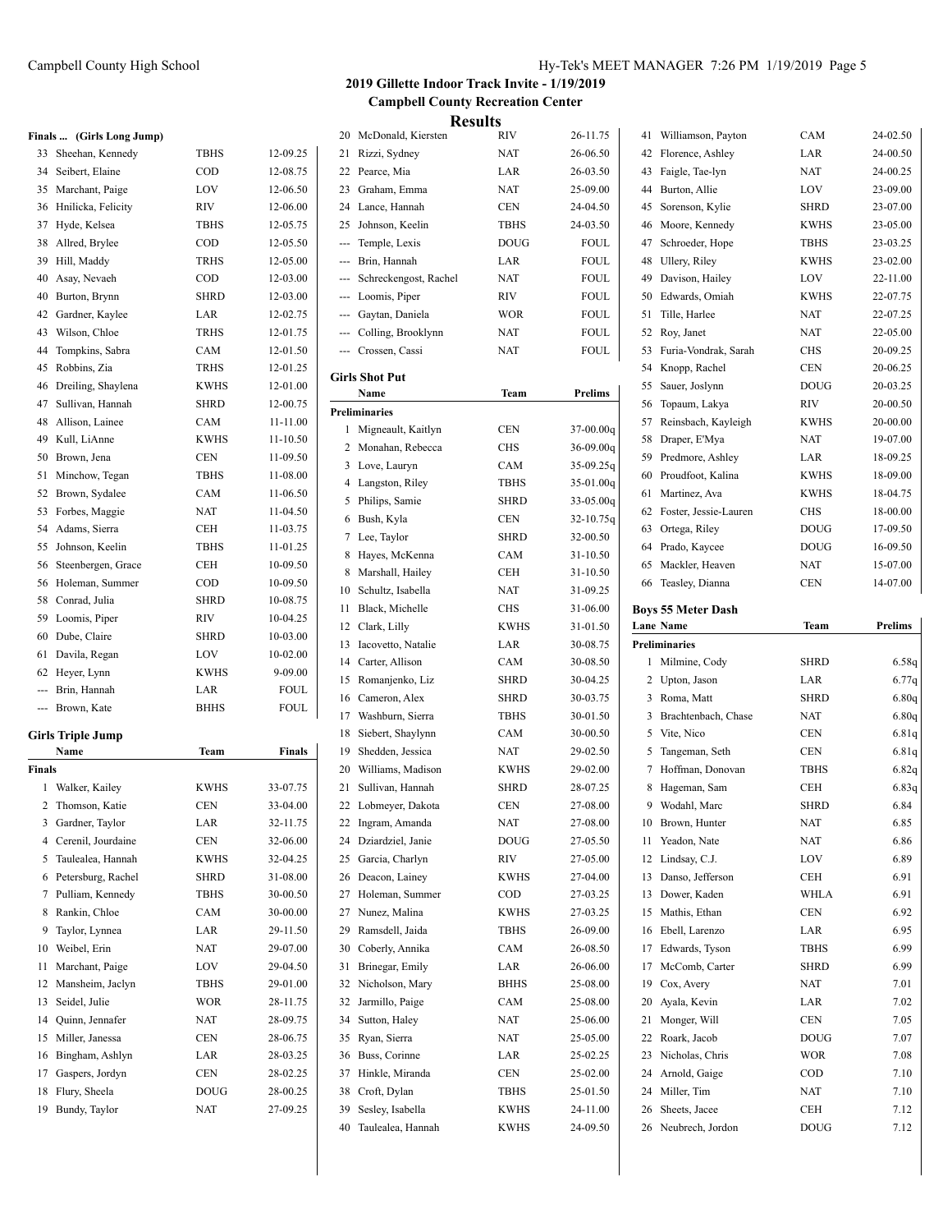|                | Finals  (Girls Long Jump) |             |               |
|----------------|---------------------------|-------------|---------------|
| 33             | Sheehan, Kennedy          | TBHS        | 12-09.25      |
|                | 34 Seibert, Elaine        | <b>COD</b>  | 12-08.75      |
| 35             | Marchant, Paige           | LOV         | 12-06.50      |
| 36             | Hnilicka, Felicity        | <b>RIV</b>  | 12-06.00      |
| 37             | Hyde, Kelsea              | <b>TBHS</b> | 12-05.75      |
| 38             | Allred, Brylee            | COD         | 12-05.50      |
| 39             | Hill, Maddy               | <b>TRHS</b> | 12-05.00      |
| 40             | Asay, Nevaeh              | COD         | 12-03.00      |
| 40             | Burton, Brynn             | <b>SHRD</b> | 12-03.00      |
| 42             | Gardner, Kaylee           | LAR         | 12-02.75      |
| 43             | Wilson, Chloe             | <b>TRHS</b> | 12-01.75      |
| 44             | Tompkins, Sabra           | CAM         | 12-01.50      |
| 45             | Robbins, Zia              | <b>TRHS</b> | 12-01.25      |
| 46             | Dreiling, Shaylena        | <b>KWHS</b> | 12-01.00      |
| 47             | Sullivan, Hannah          | <b>SHRD</b> | 12-00.75      |
| 48             | Allison, Lainee           | CAM         | 11-11.00      |
| 49             | Kull, LiAnne              | <b>KWHS</b> | 11-10.50      |
| 50             | Brown, Jena               | <b>CEN</b>  | 11-09.50      |
| 51             | Minchow, Tegan            | <b>TBHS</b> | 11-08.00      |
| 52             | Brown, Sydalee            | CAM         | 11-06.50      |
| 53             | Forbes, Maggie            | NAT         | 11-04.50      |
| 54             | Adams, Sierra             | CEH         | 11-03.75      |
| 55             | Johnson, Keelin           | <b>TBHS</b> | 11-01.25      |
| 56             | Steenbergen, Grace        | <b>CEH</b>  | 10-09.50      |
| 56             | Holeman, Summer           | COD         | 10-09.50      |
| 58             | Conrad, Julia             | <b>SHRD</b> | 10-08.75      |
| 59             | Loomis, Piper             | <b>RIV</b>  | 10-04.25      |
| 60             | Dube, Claire              | <b>SHRD</b> | 10-03.00      |
| 61             | Davila, Regan             | LOV         | 10-02.00      |
| 62             | Heyer, Lynn               | <b>KWHS</b> | 9-09.00       |
| ---            | Brin, Hannah              | LAR         | FOUL          |
| ---            | Brown, Kate               | <b>BHHS</b> | <b>FOUL</b>   |
|                | <b>Girls Triple Jump</b>  |             |               |
|                | Name                      | Team        | <b>Finals</b> |
| Finals         |                           |             |               |
| 1              | Walker, Kailey            | <b>KWHS</b> | 33-07.75      |
| $\overline{2}$ | Thomson, Katie            | <b>CEN</b>  | 33-04.00      |
|                | 3 Gardner, Taylor         | LAR         | 32-11.75      |
| 4              | Cerenil, Jourdaine        | CEN         | 32-06.00      |
| 5              | Taulealea, Hannah         | KWHS        | 32-04.25      |
| 6              | Petersburg, Rachel        | <b>SHRD</b> | 31-08.00      |
| 7              | Pulliam, Kennedy          | <b>TBHS</b> | 30-00.50      |
| 8              | Rankin, Chloe             | CAM         | 30-00.00      |
| 9              | Taylor, Lynnea            | LAR         | 29-11.50      |
| 10             | Weibel, Erin              | <b>NAT</b>  | 29-07.00      |
| 11             | Marchant, Paige           | LOV         | 29-04.50      |

 Mansheim, Jaclyn TBHS 29-01.00 Seidel, Julie WOR 28-11.75 Quinn, Jennafer NAT 28-09.75 Miller, Janessa CEN 28-06.75 Bingham, Ashlyn LAR 28-03.25 Gaspers, Jordyn CEN 28-02.25 Flury, Sheela DOUG 28-00.25 Bundy, Taylor NAT 27-09.25

### **2019 Gillette Indoor Track Invite - 1/19/2019 Campbell County Recreation Center Results**

|     | Results                       |             |               |
|-----|-------------------------------|-------------|---------------|
| 20  | McDonald, Kiersten            | RIV         | 26-11.75      |
| 21  | Rizzi, Sydney                 | <b>NAT</b>  | 26-06.50      |
| 22  | Pearce, Mia                   | LAR         | 26-03.50      |
|     | 23 Graham, Emma               | <b>NAT</b>  | 25-09.00      |
|     | 24 Lance, Hannah              | <b>CEN</b>  | 24-04.50      |
|     | 25 Johnson, Keelin            | <b>TBHS</b> | 24-03.50      |
| --- | Temple, Lexis                 | DOUG        | FOUL          |
| --- | Brin, Hannah                  | LAR         | <b>FOUL</b>   |
| $-$ | Schreckengost, Rachel         | <b>NAT</b>  | <b>FOUL</b>   |
| --- | Loomis, Piper                 | RIV         | FOUL          |
| --- | Gaytan, Daniela               | <b>WOR</b>  | FOUL          |
| --- | Colling, Brooklynn            | NAT         | <b>FOUL</b>   |
| --- | Crossen, Cassi                | NAT         | FOUL          |
|     |                               |             |               |
|     | <b>Girls Shot Put</b><br>Name | Team        | Prelims       |
|     | <b>Preliminaries</b>          |             |               |
| 1   |                               |             |               |
|     | Migneault, Kaitlyn            | CEN         | $37-00.00q$   |
| 2   | Monahan, Rebecca              | CHS         | $36 - 09.00q$ |
| 3   | Love, Lauryn                  | CAM         | $35-09.25q$   |
| 4   | Langston, Riley               | <b>TBHS</b> | 35-01.00g     |
| 5   | Philips, Samie                | <b>SHRD</b> | 33-05.00g     |
| 6   | Bush, Kyla                    | <b>CEN</b>  | 32-10.75g     |
| 7   | Lee, Taylor                   | <b>SHRD</b> | 32-00.50      |
| 8   | Hayes, McKenna                | CAM         | 31-10.50      |
| 8   | Marshall, Hailey              | CEH         | 31-10.50      |
| 10  | Schultz, Isabella             | <b>NAT</b>  | 31-09.25      |
| 11  | Black, Michelle               | CHS         | 31-06.00      |
|     | 12 Clark, Lilly               | <b>KWHS</b> | 31-01.50      |
| 13  | Iacovetto, Natalie            | LAR         | 30-08.75      |
|     | 14 Carter, Allison            | CAM         | 30-08.50      |
| 15  | Romanjenko, Liz               | SHRD        | 30-04.25      |
| 16  | Cameron, Alex                 | <b>SHRD</b> | 30-03.75      |
| 17  | Washburn, Sierra              | <b>TBHS</b> | 30-01.50      |
| 18  | Siebert, Shaylynn             | CAM         | 30-00.50      |
| 19  | Shedden, Jessica              | NAT         | 29-02.50      |
| 20  | Williams, Madison             | KWHS        | 29-02.00      |
| 21  | Sullivan, Hannah              | <b>SHRD</b> | 28-07.25      |
| 22  | Lobmeyer, Dakota              | CEN         | 27-08.00      |
| 22  | Ingram, Amanda                | <b>NAT</b>  | 27-08.00      |
| 24  | Dziardziel, Janie             | DOUG        | 27-05.50      |
| 25  | Garcia, Charlyn               | RIV         | 27-05.00      |
| 26  | Deacon, Lainey                | KWHS        | 27-04.00      |
| 27  | Holeman, Summer               | COD         | 27-03.25      |
| 27  | Nunez, Malina                 | <b>KWHS</b> | 27-03.25      |
| 29  | Ramsdell, Jaida               | TBHS        | 26-09.00      |
| 30  | Coberly, Annika               | CAM         | 26-08.50      |
| 31  | Brinegar, Emily               | LAR         | 26-06.00      |
| 32  | Nicholson, Mary               | BHHS        | 25-08.00      |
| 32  | Jarmillo, Paige               | CAM         | 25-08.00      |
| 34  | Sutton, Haley                 | NAT         | 25-06.00      |
| 35  | Ryan, Sierra                  | NAT         | 25-05.00      |
| 36  | Buss, Corinne                 | LAR         | 25-02.25      |
| 37  | Hinkle, Miranda               | <b>CEN</b>  | 25-02.00      |
| 38  | Croft, Dylan                  | TBHS        | 25-01.50      |
| 39  | Sesley, Isabella              | KWHS        | 24-11.00      |
| 40  | Taulealea, Hannah             | KWHS        | 24-09.50      |
|     |                               |             |               |

| 41 | Williamson, Payton            | CAM         | 24-02.50       |
|----|-------------------------------|-------------|----------------|
| 42 | Florence, Ashley              | LAR         | 24-00.50       |
| 43 | Faigle, Tae-lyn               | NAT         | 24-00.25       |
| 44 | Burton, Allie                 | LOV         | 23-09.00       |
| 45 | Sorenson, Kylie               | <b>SHRD</b> | 23-07.00       |
| 46 | Moore, Kennedy                | KWHS        | 23-05.00       |
| 47 | Schroeder, Hope               | TBHS        | 23-03.25       |
| 48 | Ullery, Riley                 | <b>KWHS</b> | 23-02.00       |
| 49 | Davison, Hailey               | LOV         | 22-11.00       |
| 50 | Edwards, Omiah                | KWHS        | 22-07.75       |
| 51 | Tille, Harlee                 | NAT         | 22-07.25       |
| 52 | Roy, Janet                    | NAT         | 22-05.00       |
| 53 | Furia-Vondrak, Sarah          | <b>CHS</b>  | 20-09.25       |
| 54 | Knopp, Rachel                 | <b>CEN</b>  | 20-06.25       |
| 55 | Sauer, Joslynn                | <b>DOUG</b> | 20-03.25       |
| 56 | Topaum, Lakya                 | RIV         | 20-00.50       |
| 57 | Reinsbach, Kayleigh           | KWHS        | 20-00.00       |
| 58 | Draper, E'Mya                 | NAT         | 19-07.00       |
| 59 | Predmore, Ashley              | LAR         | 18-09.25       |
| 60 | Proudfoot, Kalina             | <b>KWHS</b> | 18-09.00       |
| 61 | Martinez, Ava                 | KWHS        | 18-04.75       |
| 62 | Foster, Jessie-Lauren         | <b>CHS</b>  | 18-00.00       |
| 63 | Ortega, Riley                 | <b>DOUG</b> | 17-09.50       |
| 64 | Prado, Kaycee                 | <b>DOUG</b> | 16-09.50       |
| 65 | Mackler, Heaven               | NAT         | 15-07.00       |
|    | 66 Teasley, Dianna            | CEN         | 14-07.00       |
|    | <b>Boys 55 Meter Dash</b>     |             |                |
|    | Lane Name                     | Team        | Prelims        |
|    |                               |             |                |
|    | <b>Preliminaries</b>          |             |                |
| 1  |                               | <b>SHRD</b> |                |
| 2  | Milmine, Cody<br>Upton, Jason | LAR         | 6.58q          |
| 3  | Roma, Matt                    | <b>SHRD</b> | 6.77q<br>6.80q |
| 3  | Brachtenbach, Chase           | NAT         | 6.80q          |
| 5  | Vite, Nico                    | <b>CEN</b>  | 6.81q          |
| 5  | Tangeman, Seth                | <b>CEN</b>  | 6.81q          |
| 7  | Hoffman, Donovan              | <b>TBHS</b> | 6.82q          |
| 8  | Hageman, Sam                  | CEH         | 6.83q          |
| 9  | Wodahl, Marc                  | <b>SHRD</b> | 6.84           |
| 10 | Brown, Hunter                 | <b>NAT</b>  | 6.85           |
| 11 | Yeadon, Nate                  | NAT         | 6.86           |
| 12 | Lindsay, C.J.                 | LOV         | 6.89           |
| 13 | Danso, Jefferson              | CEH         | 6.91           |
| 13 | Dower, Kaden                  | WHLA        | 6.91           |
| 15 | Mathis, Ethan                 | <b>CEN</b>  | 6.92           |
| 16 | Ebell. Larenzo                | LAR         | 6.95           |
| 17 | Edwards, Tyson                | <b>TBHS</b> | 6.99           |
| 17 | McComb, Carter                | <b>SHRD</b> | 6.99           |
| 19 | Cox, Avery                    | <b>NAT</b>  | 7.01           |
| 20 | Ayala, Kevin                  | LAR         | 7.02           |
| 21 | Monger, Will                  | <b>CEN</b>  | 7.05           |
| 22 | Roark, Jacob                  | <b>DOUG</b> | 7.07           |
| 23 | Nicholas, Chris               | WOR         | 7.08           |
| 24 | Arnold, Gaige                 | COD         | 7.10           |
| 24 | Miller, Tim                   | NAT         | 7.10           |
| 26 | Sheets, Jacee                 | CEH         | 7.12           |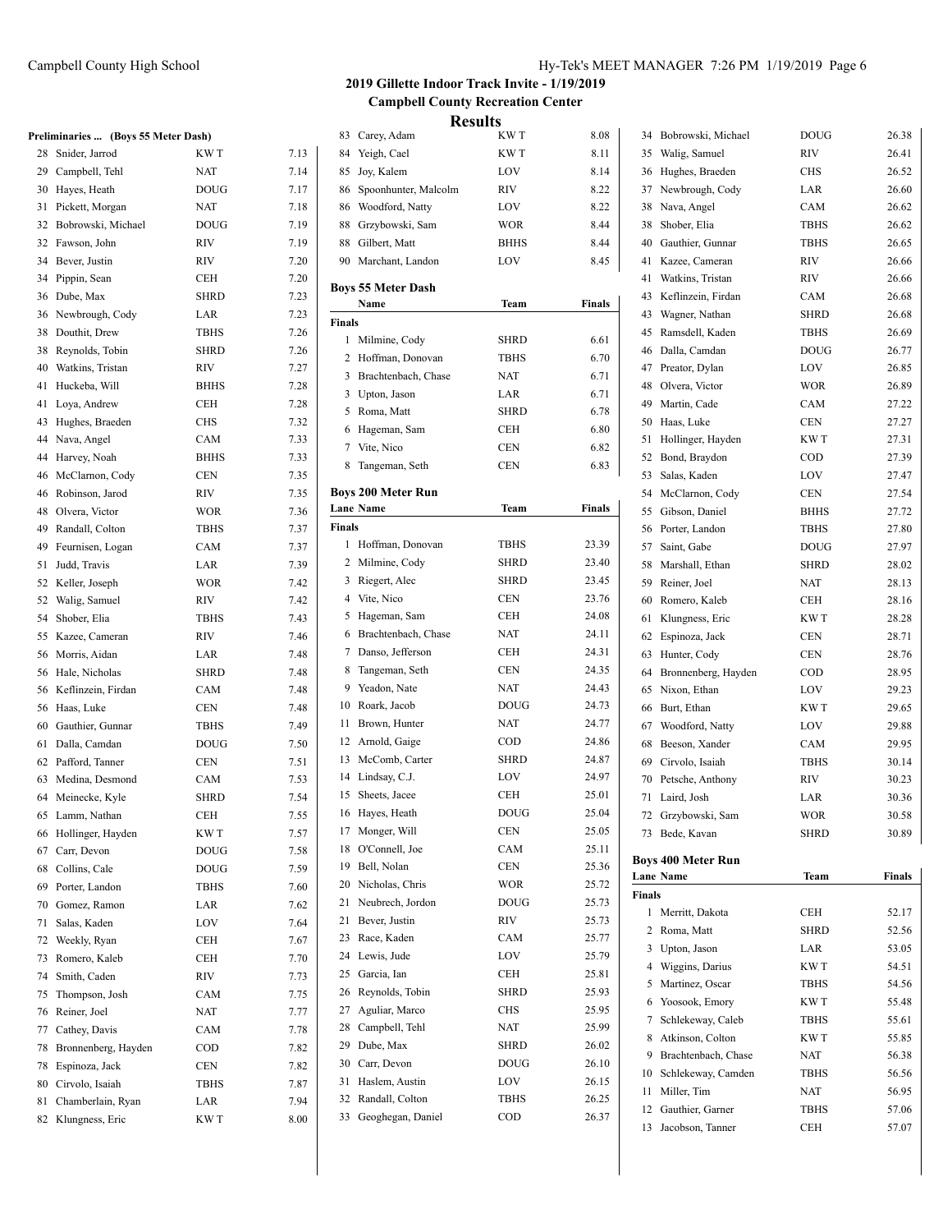|    | Preliminaries  (Boys 55 Meter Dash) |             |      |
|----|-------------------------------------|-------------|------|
| 28 | Snider, Jarrod                      | KW T        | 7.13 |
| 29 | Campbell, Tehl                      | <b>NAT</b>  | 7.14 |
| 30 | Hayes, Heath                        | <b>DOUG</b> | 7.17 |
| 31 | Pickett, Morgan                     | <b>NAT</b>  | 7.18 |
| 32 | Bobrowski, Michael                  | <b>DOUG</b> | 7.19 |
| 32 | Fawson, John                        | <b>RIV</b>  | 7.19 |
| 34 | Bever, Justin                       | <b>RIV</b>  | 7.20 |
| 34 | Pippin, Sean                        | <b>CEH</b>  | 7.20 |
| 36 | Dube, Max                           | <b>SHRD</b> | 7.23 |
| 36 | Newbrough, Cody                     | LAR         | 7.23 |
| 38 | Douthit, Drew                       | <b>TBHS</b> | 7.26 |
| 38 | Reynolds, Tobin                     | <b>SHRD</b> | 7.26 |
| 40 | Watkins, Tristan                    | <b>RIV</b>  | 7.27 |
| 41 | Huckeba, Will                       | <b>BHHS</b> | 7.28 |
| 41 | Loya, Andrew                        | <b>CEH</b>  | 7.28 |
| 43 | Hughes, Braeden                     | <b>CHS</b>  | 7.32 |
| 44 | Nava, Angel                         | <b>CAM</b>  | 7.33 |
| 44 | Harvey, Noah                        | <b>BHHS</b> | 7.33 |
| 46 | McClarnon, Cody                     | <b>CEN</b>  | 7.35 |
| 46 | Robinson, Jarod                     | <b>RIV</b>  | 7.35 |
| 48 | Olvera, Victor                      | <b>WOR</b>  | 7.36 |
| 49 | Randall, Colton                     | <b>TBHS</b> | 7.37 |
| 49 | Feurnisen, Logan                    | <b>CAM</b>  | 7.37 |

82 Klungness, Eric KW T 8.00

|    | reliminaries  (Boys 55 Meter Dash) |             |      | 83<br>Carey, Adar          |
|----|------------------------------------|-------------|------|----------------------------|
| 28 | Snider, Jarrod                     | KW T        | 7.13 | 84<br>Yeigh, Cael          |
|    | 29 Campbell, Tehl                  | NAT         | 7.14 | 85<br>Joy, Kalem           |
| 30 | Hayes, Heath                       | <b>DOUG</b> | 7.17 | Spoonhunte<br>86           |
| 31 | Pickett, Morgan                    | NAT         | 7.18 | Woodford, 1<br>86          |
| 32 | Bobrowski, Michael                 | <b>DOUG</b> | 7.19 | Grzybowsk<br>88            |
| 32 | Fawson, John                       | <b>RIV</b>  | 7.19 | 88<br>Gilbert, Ma          |
| 34 | Bever, Justin                      | RIV         | 7.20 | 90<br>Marchant, I          |
| 34 | Pippin, Sean                       | CEH         | 7.20 |                            |
| 36 | Dube, Max                          | <b>SHRD</b> | 7.23 | <b>Boys 55 Meter</b>       |
| 36 | Newbrough, Cody                    | LAR         | 7.23 | Name                       |
| 38 | Douthit, Drew                      | <b>TBHS</b> | 7.26 | Finals                     |
| 38 | Reynolds, Tobin                    | <b>SHRD</b> | 7.26 | 1 Milmine, C               |
| 40 | Watkins, Tristan                   | <b>RIV</b>  | 7.27 | $\mathbf{2}$<br>Hoffman, D |
| 41 | Huckeba, Will                      | <b>BHHS</b> | 7.28 | 3<br>Brachtenba            |
| 41 | Loya, Andrew                       | CEH         | 7.28 | 3 Upton, Jaso              |
| 43 | Hughes, Braeden                    | <b>CHS</b>  | 7.32 | 5<br>Roma, Matt            |
| 44 | Nava, Angel                        | CAM         | 7.33 | 6<br>Hageman, S            |
| 44 |                                    | <b>BHHS</b> | 7.33 | 7<br>Vite, Nico            |
|    | Harvey, Noah                       |             |      | 8<br>Tangeman,             |
| 46 | McClarnon, Cody                    | <b>CEN</b>  | 7.35 | <b>Boys 200 Meter</b>      |
| 46 | Robinson, Jarod                    | <b>RIV</b>  | 7.35 | <b>Lane Name</b>           |
| 48 | Olvera, Victor                     | <b>WOR</b>  | 7.36 | Finals                     |
| 49 | Randall, Colton                    | <b>TBHS</b> | 7.37 | 1 Hoffman, D               |
| 49 | Feurnisen, Logan                   | CAM         | 7.37 |                            |
| 51 | Judd, Travis                       | LAR         | 7.39 | 2 Milmine, C               |
| 52 | Keller, Joseph                     | <b>WOR</b>  | 7.42 | 3 Riegert, Ale             |
| 52 | Walig, Samuel                      | RIV         | 7.42 | 4 Vite, Nico               |
| 54 | Shober, Elia                       | <b>TBHS</b> | 7.43 | 5 Hageman, S               |
| 55 | Kazee, Cameran                     | <b>RIV</b>  | 7.46 | 6 Brachtenba               |
| 56 | Morris, Aidan                      | LAR         | 7.48 | 7 Danso, Jeff              |
| 56 | Hale, Nicholas                     | <b>SHRD</b> | 7.48 | 8<br>Tangeman,             |
| 56 | Keflinzein, Firdan                 | CAM         | 7.48 | 9<br>Yeadon, Na            |
| 56 | Haas, Luke                         | <b>CEN</b>  | 7.48 | 10<br>Roark, Jaco          |
| 60 | Gauthier, Gunnar                   | <b>TBHS</b> | 7.49 | 11<br>Brown, Hur           |
| 61 | Dalla, Camdan                      | <b>DOUG</b> | 7.50 | 12 Arnold, Gai             |
| 62 | Pafford, Tanner                    | <b>CEN</b>  | 7.51 | McComb, C<br>13            |
| 63 | Medina, Desmond                    | CAM         | 7.53 | Lindsay, C.<br>14          |
| 64 | Meinecke, Kyle                     | <b>SHRD</b> | 7.54 | 15<br>Sheets, Jace         |
|    | 65 Lamm, Nathan                    | CEH         | 7.55 | Hayes, Hea<br>16           |
| 66 | Hollinger, Hayden                  | KW T        | 7.57 | 17<br>Monger, Wi           |
| 67 | Carr, Devon                        | <b>DOUG</b> | 7.58 | 18<br>O'Connell, .         |
| 68 | Collins, Cale                      | <b>DOUG</b> | 7.59 | Bell, Nolan<br>19          |
| 69 | Porter, Landon                     | TBHS        | 7.60 | 20<br>Nicholas, C          |
| 70 | Gomez, Ramon                       | LAR         | 7.62 | 21<br>Neubrech, J          |
| 71 | Salas, Kaden                       | LOV         | 7.64 | 21<br>Bever, Justi         |
| 72 | Weekly, Ryan                       | CEH         | 7.67 | Race, Kade<br>23           |
| 73 | Romero, Kaleb                      | CEH         | 7.70 | Lewis, Jude<br>24          |
| 74 | Smith, Caden                       | RIV         | 7.73 | 25<br>Garcia, Ian          |
| 75 | Thompson, Josh                     | CAM         | 7.75 | 26<br>Reynolds, T          |
| 76 | Reiner, Joel                       | NAT         | 7.77 | Aguliar, Ma<br>27          |
| 77 | Cathey, Davis                      | CAM         | 7.78 | 28<br>Campbell, 7          |
| 78 | Bronnenberg, Hayden                | <b>COD</b>  | 7.82 | 29<br>Dube, Max            |
| 78 | Espinoza, Jack                     | CEN         | 7.82 | 30<br>Carr, Devor          |
| 80 | Cirvolo, Isaiah                    | TBHS        | 7.87 | 31<br>Haslem, Au           |
| 81 | Chamberlain, Ryan                  | LAR         | 7.94 | 32<br>Randall, Co          |

| Hy-Tek's MEET MANAGER 7:26 PM 1/19/2019 Page 6 |  |  |  |
|------------------------------------------------|--|--|--|
|------------------------------------------------|--|--|--|

### **2019 Gillette Indoor Track Invite - 1/19/2019 Campbell County Recreation Center Results**

|                |                           | results     |        |
|----------------|---------------------------|-------------|--------|
| 83             | Carey, Adam               | KW T        | 8.08   |
| 84             | Yeigh, Cael               | KW T        | 8.11   |
| 85             | Joy, Kalem                | LOV         | 8.14   |
| 86             | Spoonhunter, Malcolm      | RIV         | 8.22   |
| 86             | Woodford, Natty           | LOV         | 8.22   |
| 88             | Grzybowski, Sam           | <b>WOR</b>  | 8.44   |
| 88             | Gilbert, Matt             | <b>BHHS</b> | 8.44   |
| 90             | Marchant, Landon          | LOV         | 8.45   |
|                | <b>Boys 55 Meter Dash</b> |             |        |
|                | Name                      | Team        | Finals |
| Finals         |                           |             |        |
| 1              | Milmine, Cody             | <b>SHRD</b> | 6.61   |
| 2              | Hoffman, Donovan          | TBHS        | 6.70   |
|                | 3 Brachtenbach, Chase     | <b>NAT</b>  | 6.71   |
| 3              | Upton, Jason              | LAR         | 6.71   |
| 5              | Roma, Matt                | <b>SHRD</b> | 6.78   |
| 6              | Hageman, Sam              | CEH         | 6.80   |
| 7              | Vite, Nico                | CEN         | 6.82   |
| 8              | Tangeman, Seth            | CEN         | 6.83   |
|                |                           |             |        |
|                | <b>Boys 200 Meter Run</b> |             |        |
|                | <b>Lane Name</b>          | Team        | Finals |
| Finals         |                           |             |        |
| 1              | Hoffman, Donovan          | TBHS        | 23.39  |
|                | 2 Milmine, Cody           | <b>SHRD</b> | 23.40  |
| 3              | Riegert, Alec             | <b>SHRD</b> | 23.45  |
| $\overline{4}$ | Vite, Nico                | CEN         | 23.76  |
| 5              | Hageman, Sam              | CEH         | 24.08  |
| 6              | Brachtenbach, Chase       | NAT         | 24.11  |
| 7              | Danso, Jefferson          | CEH         | 24.31  |
| 8              | Tangeman, Seth            | CEN         | 24.35  |
| 9              | Yeadon, Nate              | NAT         | 24.43  |
| 10             | Roark, Jacob              | DOUG        | 24.73  |
| 11             | Brown, Hunter             | <b>NAT</b>  | 24.77  |
| 12             | Arnold, Gaige             | COD         | 24.86  |
|                | 13 McComb, Carter         | <b>SHRD</b> | 24.87  |
| 14             | Lindsay, C.J.             | LOV         | 24.97  |
| 15             | Sheets, Jacee             | <b>CEH</b>  | 25.01  |
| 16             | Hayes, Heath              | <b>DOUG</b> | 25.04  |
| 17             | Monger, Will              | CEN         | 25.05  |
| 18             | O'Connell, Joe            | CAM         | 25.11  |
| 19             | Bell, Nolan               | CEN         | 25.36  |
| 20             | Nicholas, Chris           | <b>WOR</b>  | 25.72  |
| 21             | Neubrech, Jordon          | <b>DOUG</b> | 25.73  |
| 21             | Bever, Justin             | RIV         | 25.73  |
| 23             | Race, Kaden               | CAM         | 25.77  |
| 24             | Lewis, Jude               | LOV         | 25.79  |
| 25             | Garcia, Ian               | CEH         | 25.81  |
| 26             | Reynolds, Tobin           | <b>SHRD</b> | 25.93  |
| 27             | Aguliar, Marco            | <b>CHS</b>  | 25.95  |
| 28             | Campbell, Tehl            | NAT         | 25.99  |
| 29             | Dube, Max                 | SHRD        | 26.02  |
| 30             | Carr, Devon               | <b>DOUG</b> | 26.10  |
| 31             | Haslem, Austin            | LOV         | 26.15  |
| 32             | Randall, Colton           | TBHS        | 26.25  |
| 33             | Geoghegan, Daniel         | COD         | 26.37  |
|                |                           |             |        |

| 34     | Bobrowski, Michael                            | <b>DOUG</b> | 26.38  |
|--------|-----------------------------------------------|-------------|--------|
| 35     | Walig, Samuel                                 | RIV         | 26.41  |
| 36     | Hughes, Braeden                               | <b>CHS</b>  | 26.52  |
| 37     | Newbrough, Cody                               | LAR         | 26.60  |
| 38     | Nava, Angel                                   | CAM         | 26.62  |
| 38     | Shober, Elia                                  | <b>TBHS</b> | 26.62  |
| 40     | Gauthier, Gunnar                              | <b>TBHS</b> | 26.65  |
| 41     | Kazee, Cameran                                | <b>RIV</b>  | 26.66  |
| 41     | Watkins, Tristan                              | <b>RIV</b>  | 26.66  |
| 43     | Keflinzein, Firdan                            | <b>CAM</b>  | 26.68  |
| 43     | Wagner, Nathan                                | <b>SHRD</b> | 26.68  |
| 45     | Ramsdell, Kaden                               | <b>TBHS</b> | 26.69  |
| 46     | Dalla, Camdan                                 | <b>DOUG</b> | 26.77  |
| 47     | Preator, Dylan                                | LOV         | 26.85  |
| 48     | Olvera, Victor                                | <b>WOR</b>  | 26.89  |
| 49     | Martin, Cade                                  | CAM         | 27.22  |
| 50     | Haas, Luke                                    | <b>CEN</b>  | 27.27  |
| 51     | Hollinger, Hayden                             | KW T        | 27.31  |
| 52     | Bond, Braydon                                 | COD         | 27.39  |
| 53     | Salas, Kaden                                  | LOV         | 27.47  |
|        | 54 McClarnon, Cody                            | CEN         | 27.54  |
| 55     | Gibson, Daniel                                | <b>BHHS</b> | 27.72  |
| 56     | Porter, Landon                                | <b>TBHS</b> | 27.80  |
|        | 57 Saint, Gabe                                | <b>DOUG</b> | 27.97  |
| 58     | Marshall, Ethan                               | <b>SHRD</b> | 28.02  |
| 59     | Reiner, Joel                                  | <b>NAT</b>  | 28.13  |
| 60     | Romero, Kaleb                                 | <b>CEH</b>  | 28.16  |
| 61     | Klungness, Eric                               | KW T        | 28.28  |
| 62     | Espinoza, Jack                                | <b>CEN</b>  | 28.71  |
| 63     | Hunter, Cody                                  | <b>CEN</b>  | 28.76  |
| 64     | Bronnenberg, Hayden                           | COD         | 28.95  |
| 65     | Nixon, Ethan                                  | LOV         | 29.23  |
| 66     | Burt, Ethan                                   | KW T        | 29.65  |
| 67     | Woodford, Natty                               | LOV         | 29.88  |
| 68     | Beeson, Xander                                | CAM         | 29.95  |
| 69     | Cirvolo, Isaiah                               | <b>TBHS</b> | 30.14  |
| 70     | Petsche, Anthony                              | <b>RIV</b>  | 30.23  |
| 71     | Laird, Josh                                   | LAR         | 30.36  |
| 72     | Grzybowski, Sam                               | <b>WOR</b>  | 30.58  |
| 73     | Bede, Kavan                                   | SHRD        | 30.89  |
|        |                                               |             |        |
|        | <b>Boys 400 Meter Run</b><br><b>Lane Name</b> | Team        | Finals |
| Finals |                                               |             |        |
| 1      | Merritt, Dakota                               | CEH         | 52.17  |
| 2      | Roma, Matt                                    | <b>SHRD</b> | 52.56  |
| 3      | Upton, Jason                                  | LAR         | 53.05  |
|        | 4 Wiggins, Darius                             | KW T        | 54.51  |
| 5      | Martinez, Oscar                               | TBHS        | 54.56  |
| 6      | Yoosook, Emory                                | KW T        | 55.48  |
| 7      | Schlekeway, Caleb                             | TBHS        | 55.61  |
| 8      | Atkinson, Colton                              | KW T        | 55.85  |
| 9      | Brachtenbach, Chase                           | NAT         | 56.38  |
| 10     | Schlekeway, Camden                            | <b>TBHS</b> | 56.56  |
| 11     | Miller, Tim                                   | NAT         | 56.95  |
| 12     | Gauthier, Garner                              | TBHS        | 57.06  |
| 13     | Jacobson, Tanner                              | CEH         | 57.07  |
|        |                                               |             |        |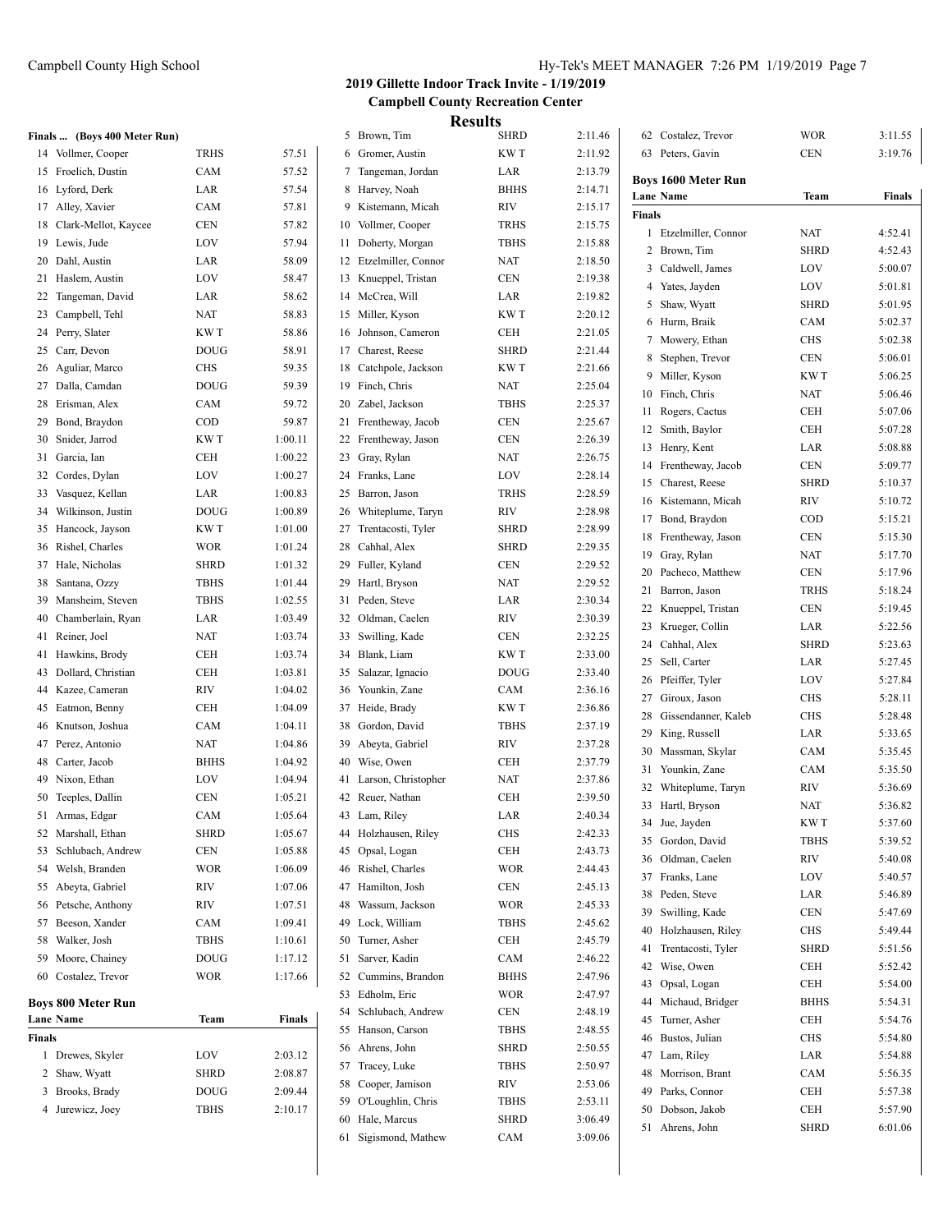## Campbell County High School Figure 3:26 PM 1/19/2019 Page 7:26 PM 1/19/2019 Page 7:26 PM 1/19/2019 Page 7:26 PM

## **2019 Gillette Indoor Track Invite - 1/19/2019 Campbell County Recreation Center Results**

|        |                              |              |         |    |                                     | <b>IZESUILS</b> |         |                            |              |         |
|--------|------------------------------|--------------|---------|----|-------------------------------------|-----------------|---------|----------------------------|--------------|---------|
|        | Finals  (Boys 400 Meter Run) |              |         |    | 5 Brown, Tim                        | <b>SHRD</b>     | 2:11.46 | 62 Costalez, Trevor        | <b>WOR</b>   | 3:11.55 |
|        | 14 Vollmer, Cooper           | <b>TRHS</b>  | 57.51   |    | 6 Gromer, Austin                    | <b>KWT</b>      | 2:11.92 | 63 Peters, Gavin           | <b>CEN</b>   | 3:19.76 |
|        | 15 Froelich, Dustin          | CAM          | 57.52   |    | 7 Tangeman, Jordan                  | LAR             | 2:13.79 | <b>Boys 1600 Meter Run</b> |              |         |
|        | 16 Lyford, Derk              | LAR          | 57.54   |    | 8 Harvey, Noah                      | <b>BHHS</b>     | 2:14.71 | Lane Name                  | Team         | Finals  |
|        | 17 Alley, Xavier             | CAM          | 57.81   |    | 9 Kistemann, Micah                  | <b>RIV</b>      | 2:15.17 | Finals                     |              |         |
|        | 18 Clark-Mellot, Kaycee      | <b>CEN</b>   | 57.82   |    | 10 Vollmer, Cooper                  | <b>TRHS</b>     | 2:15.75 | 1 Etzelmiller, Connor      | <b>NAT</b>   | 4:52.41 |
|        | 19 Lewis, Jude               | LOV          | 57.94   |    | 11 Doherty, Morgan                  | <b>TBHS</b>     | 2:15.88 | 2 Brown, Tim               | <b>SHRD</b>  | 4:52.43 |
|        | 20 Dahl, Austin              | LAR          | 58.09   |    | 12 Etzelmiller, Connor              | <b>NAT</b>      | 2:18.50 | 3 Caldwell, James          | LOV          | 5:00.07 |
|        | 21 Haslem, Austin            | LOV          | 58.47   |    | 13 Knueppel, Tristan                | <b>CEN</b>      | 2:19.38 | 4 Yates, Jayden            | LOV          | 5:01.81 |
|        | 22 Tangeman, David           | LAR          | 58.62   |    | 14 McCrea, Will                     | LAR             | 2:19.82 | 5 Shaw, Wyatt              | <b>SHRD</b>  | 5:01.95 |
|        | 23 Campbell, Tehl            | <b>NAT</b>   | 58.83   |    | 15 Miller, Kyson                    | KW T            | 2:20.12 | 6 Hurm, Braik              | CAM          | 5:02.37 |
|        | 24 Perry, Slater             | KW T         | 58.86   |    | 16 Johnson, Cameron                 | <b>CEH</b>      | 2:21.05 | 7 Mowery, Ethan            | <b>CHS</b>   | 5:02.38 |
|        | 25 Carr, Devon               | <b>DOUG</b>  | 58.91   |    | 17 Charest, Reese                   | <b>SHRD</b>     | 2:21.44 | 8 Stephen, Trevor          | CEN          | 5:06.01 |
|        | 26 Aguliar, Marco            | <b>CHS</b>   | 59.35   |    | 18 Catchpole, Jackson               | KW T            | 2:21.66 | 9 Miller, Kyson            | KW T         | 5:06.25 |
|        | 27 Dalla, Camdan             | <b>DOUG</b>  | 59.39   |    | 19 Finch, Chris                     | <b>NAT</b>      | 2:25.04 |                            |              |         |
|        | 28 Erisman, Alex             | CAM          | 59.72   |    | 20 Zabel, Jackson                   | <b>TBHS</b>     | 2:25.37 | 10 Finch, Chris            | <b>NAT</b>   | 5:06.46 |
|        | 29 Bond, Braydon             | $\rm{COD}$   | 59.87   |    | 21 Frentheway, Jacob                | <b>CEN</b>      | 2:25.67 | 11 Rogers, Cactus          | <b>CEH</b>   | 5:07.06 |
|        | 30 Snider, Jarrod            | KW T         | 1:00.11 |    | 22 Frentheway, Jason                | <b>CEN</b>      | 2:26.39 | 12 Smith, Baylor           | CEH          | 5:07.28 |
|        | 31 Garcia, Ian               | CEH          | 1:00.22 |    | 23 Gray, Rylan                      | <b>NAT</b>      | 2:26.75 | 13 Henry, Kent             | LAR          | 5:08.88 |
|        | 32 Cordes, Dylan             | LOV          | 1:00.27 |    | 24 Franks, Lane                     | LOV             | 2:28.14 | 14 Frentheway, Jacob       | CEN          | 5:09.77 |
|        | 33 Vasquez, Kellan           | LAR          | 1:00.83 |    | 25 Barron, Jason                    | <b>TRHS</b>     | 2:28.59 | 15 Charest, Reese          | <b>SHRD</b>  | 5:10.37 |
|        | 34 Wilkinson, Justin         | <b>DOUG</b>  | 1:00.89 |    | 26 Whiteplume, Taryn                | <b>RIV</b>      | 2:28.98 | 16 Kistemann, Micah        | <b>RIV</b>   | 5:10.72 |
|        | 35 Hancock, Jayson           | KW T         | 1:01.00 |    | 27 Trentacosti, Tyler               | <b>SHRD</b>     | 2:28.99 | 17 Bond, Braydon           | COD          | 5:15.21 |
|        | 36 Rishel, Charles           | <b>WOR</b>   | 1:01.24 |    | 28 Cahhal, Alex                     | <b>SHRD</b>     | 2:29.35 | 18 Frentheway, Jason       | $\mbox{CEN}$ | 5:15.30 |
|        | 37 Hale, Nicholas            | <b>SHRD</b>  | 1:01.32 |    | 29 Fuller, Kyland                   | <b>CEN</b>      | 2:29.52 | 19 Gray, Rylan             | <b>NAT</b>   | 5:17.70 |
|        | 38 Santana, Ozzy             | <b>TBHS</b>  | 1:01.44 |    |                                     | <b>NAT</b>      | 2:29.52 | 20 Pacheco, Matthew        | <b>CEN</b>   | 5:17.96 |
|        |                              | <b>TBHS</b>  | 1:02.55 |    | 29 Hartl, Bryson<br>31 Peden, Steve | LAR             | 2:30.34 | 21 Barron, Jason           | <b>TRHS</b>  | 5:18.24 |
|        | 39 Mansheim, Steven          |              |         |    |                                     |                 |         | 22 Knueppel, Tristan       | <b>CEN</b>   | 5:19.45 |
|        | 40 Chamberlain, Ryan         | LAR          | 1:03.49 |    | 32 Oldman, Caelen                   | <b>RIV</b>      | 2:30.39 | 23 Krueger, Collin         | LAR          | 5:22.56 |
|        | 41 Reiner, Joel              | <b>NAT</b>   | 1:03.74 |    | 33 Swilling, Kade                   | <b>CEN</b>      | 2:32.25 | 24 Cahhal, Alex            | <b>SHRD</b>  | 5:23.63 |
|        | 41 Hawkins, Brody            | <b>CEH</b>   | 1:03.74 |    | 34 Blank, Liam                      | KW T            | 2:33.00 | 25 Sell, Carter            | LAR          | 5:27.45 |
|        | 43 Dollard, Christian        | <b>CEH</b>   | 1:03.81 |    | 35 Salazar, Ignacio                 | <b>DOUG</b>     | 2:33.40 | 26 Pfeiffer, Tyler         | LOV          | 5:27.84 |
|        | 44 Kazee, Cameran            | <b>RIV</b>   | 1:04.02 |    | 36 Younkin, Zane                    | CAM             | 2:36.16 | 27 Giroux, Jason           | <b>CHS</b>   | 5:28.11 |
|        | 45 Eatmon, Benny             | <b>CEH</b>   | 1:04.09 |    | 37 Heide, Brady                     | KW T            | 2:36.86 | 28 Gissendanner, Kaleb     | <b>CHS</b>   | 5:28.48 |
|        | 46 Knutson, Joshua           | CAM          | 1:04.11 |    | 38 Gordon, David                    | <b>TBHS</b>     | 2:37.19 | 29 King, Russell           | LAR          | 5:33.65 |
|        | 47 Perez, Antonio            | <b>NAT</b>   | 1:04.86 |    | 39 Abeyta, Gabriel                  | <b>RIV</b>      | 2:37.28 | 30 Massman, Skylar         | CAM          | 5:35.45 |
|        | 48 Carter, Jacob             | <b>BHHS</b>  | 1:04.92 |    | 40 Wise, Owen                       | <b>CEH</b>      | 2:37.79 | 31 Younkin, Zane           | CAM          | 5:35.50 |
|        | 49 Nixon, Ethan              | LOV          | 1:04.94 |    | 41 Larson, Christopher              | <b>NAT</b>      | 2:37.86 | 32 Whiteplume, Taryn       | <b>RIV</b>   | 5:36.69 |
|        | 50 Teeples, Dallin           | <b>CEN</b>   | 1:05.21 |    | 42 Reuer, Nathan                    | <b>CEH</b>      | 2:39.50 | 33 Hartl, Bryson           | NAT          | 5:36.82 |
|        | 51 Armas, Edgar              | CAM          | 1:05.64 |    | 43 Lam, Riley                       | LAR             | 2:40.34 | 34 Jue, Jayden             | KW T         | 5:37.60 |
|        | 52 Marshall, Ethan           | <b>SHRD</b>  | 1:05.67 |    | 44 Holzhausen, Riley                | <b>CHS</b>      | 2:42.33 | 35 Gordon, David           | TBHS         | 5:39.52 |
|        | 53 Schlubach, Andrew         | $\mbox{CEN}$ | 1:05.88 |    | 45 Opsal, Logan                     | <b>CEH</b>      | 2:43.73 | 36 Oldman, Caelen          | <b>RIV</b>   | 5:40.08 |
|        | 54 Welsh, Branden            | <b>WOR</b>   | 1:06.09 |    | 46 Rishel, Charles                  | <b>WOR</b>      | 2:44.43 | 37 Franks, Lane            | LOV          | 5:40.57 |
|        | 55 Abeyta, Gabriel           | RIV          | 1:07.06 |    | 47 Hamilton, Josh                   | <b>CEN</b>      | 2:45.13 | 38 Peden, Steve            | LAR          | 5:46.89 |
|        | 56 Petsche, Anthony          | RIV          | 1:07.51 | 48 | Wassum, Jackson                     | <b>WOR</b>      | 2:45.33 | 39 Swilling, Kade          | CEN          | 5:47.69 |
|        | 57 Beeson, Xander            | CAM          | 1:09.41 | 49 | Lock, William                       | <b>TBHS</b>     | 2:45.62 | 40 Holzhausen, Riley       | CHS          | 5:49.44 |
|        | 58 Walker, Josh              | TBHS         | 1:10.61 |    | 50 Turner, Asher                    | <b>CEH</b>      | 2:45.79 | 41 Trentacosti, Tyler      | <b>SHRD</b>  |         |
|        | 59 Moore, Chainey            | <b>DOUG</b>  | 1:17.12 |    | 51 Sarver, Kadin                    | CAM             | 2:46.22 |                            |              | 5:51.56 |
|        | 60 Costalez, Trevor          | <b>WOR</b>   | 1:17.66 |    | 52 Cummins, Brandon                 | <b>BHHS</b>     | 2:47.96 | 42 Wise, Owen              | CEH          | 5:52.42 |
|        |                              |              |         |    | 53 Edholm, Eric                     | <b>WOR</b>      | 2:47.97 | 43 Opsal, Logan            | CEH          | 5:54.00 |
|        | <b>Boys 800 Meter Run</b>    |              |         |    | 54 Schlubach, Andrew                | <b>CEN</b>      | 2:48.19 | 44 Michaud, Bridger        | <b>BHHS</b>  | 5:54.31 |
|        | Lane Name                    | Team         | Finals  |    | 55 Hanson, Carson                   | <b>TBHS</b>     | 2:48.55 | 45 Turner, Asher           | CEH          | 5:54.76 |
| Finals |                              |              |         |    | 56 Ahrens, John                     | <b>SHRD</b>     | 2:50.55 | 46 Bustos, Julian          | <b>CHS</b>   | 5:54.80 |
|        | 1 Drewes, Skyler             | <b>LOV</b>   | 2:03.12 |    | 57 Tracey, Luke                     | <b>TBHS</b>     | 2:50.97 | 47 Lam, Riley              | LAR          | 5:54.88 |
|        | 2 Shaw, Wyatt                | <b>SHRD</b>  | 2:08.87 |    | 58 Cooper, Jamison                  | RIV             | 2:53.06 | 48 Morrison, Brant         | CAM          | 5:56.35 |
|        | 3 Brooks, Brady              | <b>DOUG</b>  | 2:09.44 |    | 59 O'Loughlin, Chris                | TBHS            | 2:53.11 | 49 Parks, Connor           | CEH          | 5:57.38 |
|        | 4 Jurewicz, Joey             | TBHS         | 2:10.17 |    | 60 Hale, Marcus                     | <b>SHRD</b>     | 3:06.49 | 50 Dobson, Jakob           | CEH          | 5:57.90 |
|        |                              |              |         |    | 61 Sigismond, Mathew                | CAM             | 3:09.06 | 51 Ahrens, John            | <b>SHRD</b>  | 6:01.06 |
|        |                              |              |         |    |                                     |                 |         |                            |              |         |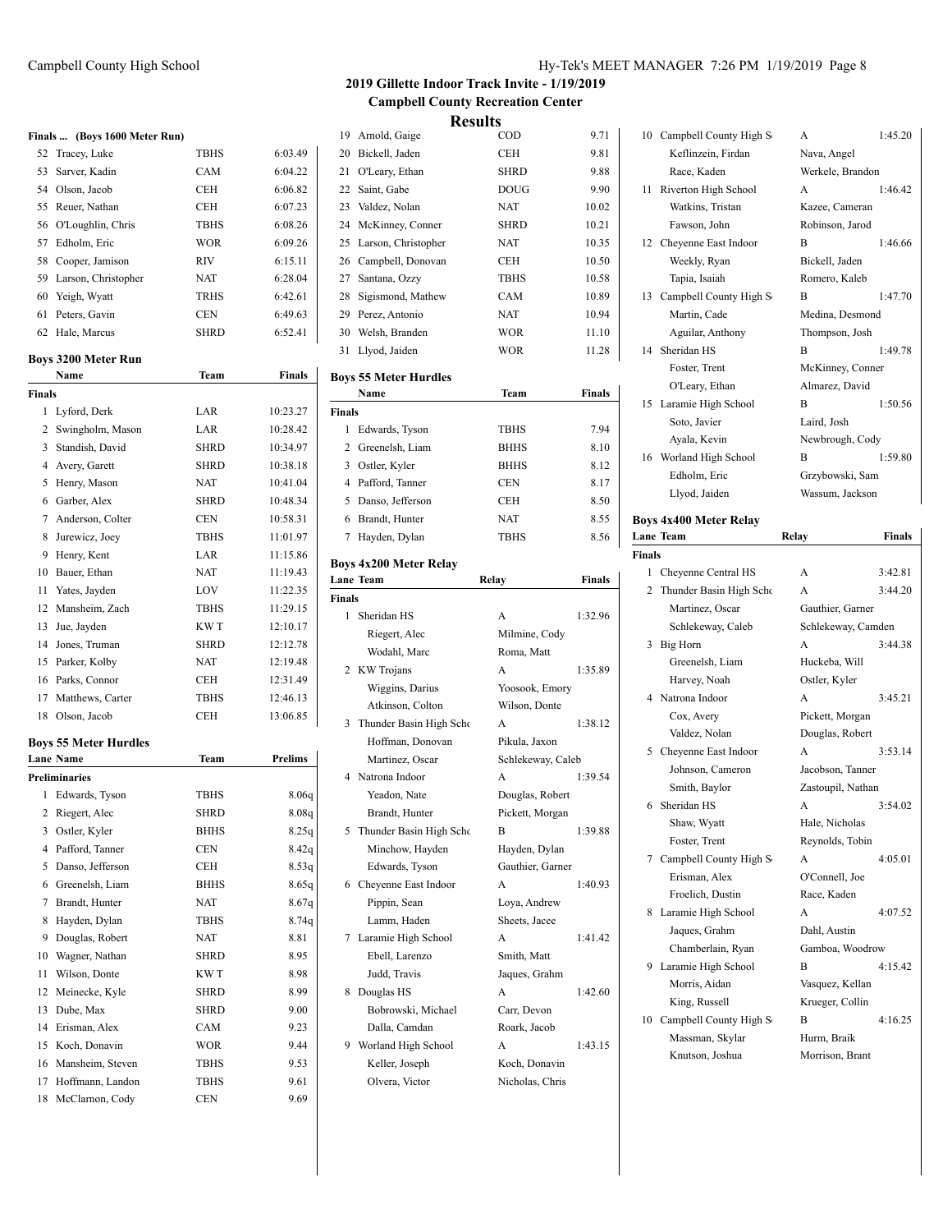|    | Finals  (Boys 1600 Meter Run) |             |         |  |  |  |  |  |
|----|-------------------------------|-------------|---------|--|--|--|--|--|
|    | 52 Tracey, Luke               | <b>TBHS</b> | 6:03.49 |  |  |  |  |  |
|    | 53 Sarver, Kadin              | <b>CAM</b>  | 6:04.22 |  |  |  |  |  |
|    | 54 Olson, Jacob               | <b>CEH</b>  | 6:06.82 |  |  |  |  |  |
|    | 55 Reuer, Nathan              | <b>CEH</b>  | 6:07.23 |  |  |  |  |  |
|    | 56 O'Loughlin, Chris          | <b>TBHS</b> | 6:08.26 |  |  |  |  |  |
| 57 | Edholm, Eric                  | <b>WOR</b>  | 6:09.26 |  |  |  |  |  |
|    | 58 Cooper, Jamison            | <b>RIV</b>  | 6:15.11 |  |  |  |  |  |
|    | 59 Larson, Christopher        | <b>NAT</b>  | 6:28.04 |  |  |  |  |  |
|    | 60 Yeigh, Wyatt               | <b>TRHS</b> | 6:42.61 |  |  |  |  |  |
|    | 61 Peters, Gavin              | <b>CEN</b>  | 6:49.63 |  |  |  |  |  |

62 Hale, Marcus SHRD 6:52.41

## **Boys 3200 Meter Run**

|                | Name                         | Team        | Finals   |
|----------------|------------------------------|-------------|----------|
| <b>Finals</b>  |                              |             |          |
| 1              | Lyford, Derk                 | LAR         | 10:23.27 |
| $\overline{c}$ | Swingholm, Mason             | LAR         | 10:28.42 |
| 3              | Standish, David              | <b>SHRD</b> | 10:34.97 |
| 4              | Avery, Garett                | <b>SHRD</b> | 10:38.18 |
| 5              | Henry, Mason                 | <b>NAT</b>  | 10:41.04 |
| 6              | Garber, Alex                 | <b>SHRD</b> | 10:48.34 |
| $\overline{7}$ | Anderson, Colter             | <b>CEN</b>  | 10:58.31 |
| 8              | Jurewicz, Joey               | <b>TBHS</b> | 11:01.97 |
| 9              | Henry, Kent                  | LAR         | 11:15.86 |
| 10             | Bauer, Ethan                 | <b>NAT</b>  | 11:19.43 |
| 11             | Yates, Jayden                | LOV         | 11:22.35 |
| 12             | Mansheim, Zach               | <b>TBHS</b> | 11:29.15 |
| 13             | Jue, Jayden                  | KW T        | 12:10.17 |
| 14             | Jones, Truman                | <b>SHRD</b> | 12:12.78 |
| 15             | Parker, Kolby                | <b>NAT</b>  | 12:19.48 |
| 16             | Parks, Connor                | <b>CEH</b>  | 12:31.49 |
| 17             | Matthews, Carter             | <b>TBHS</b> | 12:46.13 |
| 18             | Olson, Jacob                 | <b>CEH</b>  | 13:06.85 |
|                | <b>Boys 55 Meter Hurdles</b> |             |          |
|                | <b>Lane Name</b>             | Team        | Prelims  |
|                | Preliminaries                |             |          |
| 1              | Edwards, Tyson               | <b>TBHS</b> | 8.06q    |
| 2              | Riegert, Alec                | <b>SHRD</b> | 8.08q    |
|                | 3 Ostler, Kyler              | <b>BHHS</b> | 8.25q    |
| $\overline{4}$ | Pafford, Tanner              | <b>CEN</b>  | 8.42q    |
| 5              | Danso, Jefferson             | <b>CEH</b>  | 8.53q    |
|                | 6 Greenelsh, Liam            | <b>BHHS</b> | 8.65q    |
| 7              | Brandt, Hunter               | <b>NAT</b>  | 8.67q    |
| 8              | Hayden, Dylan                | <b>TBHS</b> | 8.74q    |
| 9              | Douglas, Robert              | <b>NAT</b>  | 8.81     |
| 10             | Wagner, Nathan               | <b>SHRD</b> | 8.95     |
| 11             | Wilson, Donte                | KW T        | 8.98     |
| 12             | Meinecke, Kyle               | <b>SHRD</b> | 8.99     |
| 13             | Dube, Max                    | <b>SHRD</b> | 9.00     |
| 14             | Erisman, Alex                | CAM         | 9.23     |
| 15             | Koch, Donavin                | <b>WOR</b>  | 9.44     |
| 16             |                              |             |          |
|                | Mansheim, Steven             | <b>TBHS</b> | 9.53     |
| 17             | Hoffmann, Landon             | <b>TBHS</b> | 9.61     |
| 18             | McClarnon, Cody              | <b>CEN</b>  | 9.69     |

## Campbell County High School Hy-Tek's MEET MANAGER 7:26 PM 1/19/2019 Page 8

## **2019 Gillette Indoor Track Invite - 1/19/2019 Campbell County Recreation Center Results**

| 19 Arnold, Gaige       | $\rm{COD}$  | 9.71  |
|------------------------|-------------|-------|
| 20 Bickell, Jaden      | <b>CEH</b>  | 9.81  |
| 21 O'Leary, Ethan      | <b>SHRD</b> | 9.88  |
| 22 Saint, Gabe         | <b>DOUG</b> | 9.90  |
| 23 Valdez, Nolan       | NAT         | 10.02 |
| 24 McKinney, Conner    | <b>SHRD</b> | 10.21 |
| 25 Larson, Christopher | <b>NAT</b>  | 10.35 |
| 26 Campbell, Donovan   | <b>CEH</b>  | 10.50 |
| 27 Santana, Ozzy       | <b>TBHS</b> | 10.58 |
| 28 Sigismond, Mathew   | <b>CAM</b>  | 10.89 |
| 29 Perez, Antonio      | NAT         | 10.94 |
| 30 Welsh, Branden      | <b>WOR</b>  | 11.10 |
| 31 Llyod, Jaiden       | <b>WOR</b>  | 11.28 |

## **Boys 55 Meter Hurdles**

|               | Name              | Team        | Finals |  |  |
|---------------|-------------------|-------------|--------|--|--|
| <b>Finals</b> |                   |             |        |  |  |
| 1             | Edwards, Tyson    | <b>TBHS</b> | 7.94   |  |  |
|               | 2 Greenelsh, Liam | <b>BHHS</b> | 8.10   |  |  |
| 3             | Ostler, Kyler     | <b>BHHS</b> | 8.12   |  |  |
| 4             | Pafford, Tanner   | CEN         | 8.17   |  |  |
| 5             | Danso, Jefferson  | CEH         | 8.50   |  |  |
| 6             | Brandt, Hunter    | NAT         | 8.55   |  |  |
|               | Hayden, Dylan     | <b>TBHS</b> | 8.56   |  |  |
|               |                   |             |        |  |  |

# **Boys 4x200 Meter Relay**

|               | Lane Team                 | Relay             | Finals  |
|---------------|---------------------------|-------------------|---------|
| <b>Finals</b> |                           |                   |         |
| 1             | Sheridan HS               | A                 | 1:32.96 |
|               | Riegert, Alec             | Milmine, Cody     |         |
|               | Wodahl, Marc              | Roma, Matt        |         |
| 2             | KW Trojans                | A                 | 1:35.89 |
|               | Wiggins, Darius           | Yoosook, Emory    |         |
|               | Atkinson, Colton          | Wilson, Donte     |         |
|               | 3 Thunder Basin High Scho | A                 | 1:38.12 |
|               | Hoffman, Donovan          | Pikula, Jaxon     |         |
|               | Martinez, Oscar           | Schlekeway, Caleb |         |
| 4             | Natrona Indoor            | A                 | 1:39.54 |
|               | Yeadon, Nate              | Douglas, Robert   |         |
|               | Brandt, Hunter            | Pickett, Morgan   |         |
| 5.            | Thunder Basin High Scho   | B                 | 1:39.88 |
|               | Minchow, Hayden           | Hayden, Dylan     |         |
|               | Edwards, Tyson            | Gauthier, Garner  |         |
|               | 6 Cheyenne East Indoor    | A                 | 1:40.93 |
|               | Pippin, Sean              | Loya, Andrew      |         |
|               | Lamm, Haden               | Sheets, Jacee     |         |
| 7             | Laramie High School       | A                 | 1:41.42 |
|               | Ebell, Larenzo            | Smith, Matt       |         |
|               | Judd, Travis              | Jaques, Grahm     |         |
| 8             | Douglas HS                | A                 | 1:42.60 |
|               | Bobrowski, Michael        | Carr, Devon       |         |
|               | Dalla, Camdan             | Roark, Jacob      |         |
| 9             | Worland High School       | A                 | 1:43.15 |
|               | Keller, Joseph            | Koch, Donavin     |         |
|               | Olvera, Victor            | Nicholas, Chris   |         |
|               |                           |                   |         |

| 10 | Campbell County High S  | A                | 1:45.20 |
|----|-------------------------|------------------|---------|
|    | Keflinzein, Firdan      | Nava, Angel      |         |
|    | Race, Kaden             | Werkele, Brandon |         |
| 11 | Riverton High School    | $\mathsf{A}$     | 1:46.42 |
|    | Watkins, Tristan        | Kazee, Cameran   |         |
|    | Fawson, John            | Robinson, Jarod  |         |
|    | 12 Cheyenne East Indoor | B                | 1:46.66 |
|    | Weekly, Ryan            | Bickell, Jaden   |         |
|    | Tapia, Isaiah           | Romero, Kaleb    |         |
| 13 | Campbell County High S  | B                | 1:47.70 |
|    | Martin, Cade            | Medina, Desmond  |         |
|    | Aguilar, Anthony        | Thompson, Josh   |         |
|    | 14 Sheridan HS          | B                | 1:49.78 |
|    | Foster, Trent           | McKinney, Conner |         |
|    | O'Leary, Ethan          | Almarez, David   |         |
| 15 | Laramie High School     | B                | 1:50.56 |
|    | Soto, Javier            | Laird, Josh      |         |
|    | Ayala, Kevin            | Newbrough, Cody  |         |
|    | 16 Worland High School  | B                | 1:59.80 |
|    | Edholm, Eric            | Grzybowski, Sam  |         |
|    | Llvod Jaiden            | Wassum Jackson   |         |

### **Boys 4x400 Meter Relay Lane Team Relay Finals**

| Finals |                          |                    |         |
|--------|--------------------------|--------------------|---------|
| 1      | Cheyenne Central HS      | A                  | 3:42.81 |
| 2      | Thunder Basin High Scho  | A                  | 3:44.20 |
|        | Martinez. Oscar          | Gauthier, Garner   |         |
|        | Schlekeway, Caleb        | Schlekeway, Camden |         |
| 3      | Big Horn                 | A                  | 3:44.38 |
|        | Greenelsh, Liam          | Huckeba, Will      |         |
|        | Harvey, Noah             | Ostler, Kyler      |         |
| 4      | Natrona Indoor           | A                  | 3:45.21 |
|        | Cox, Avery               | Pickett, Morgan    |         |
|        | Valdez, Nolan            | Douglas, Robert    |         |
| 5.     | Cheyenne East Indoor     | A                  | 3:53.14 |
|        | Johnson, Cameron         | Jacobson. Tanner   |         |
|        | Smith, Baylor            | Zastoupil, Nathan  |         |
| 6      | Sheridan HS              | A                  | 3:54.02 |
|        | Shaw, Wyatt              | Hale, Nicholas     |         |
|        | Foster, Trent            | Reynolds, Tobin    |         |
|        | 7 Campbell County High S | A                  | 4:05.01 |
|        | Erisman, Alex            | O'Connell, Joe     |         |
|        | Froelich, Dustin         | Race, Kaden        |         |
| 8.     | Laramie High School      | A                  | 4:07.52 |
|        | Jaques, Grahm            | Dahl, Austin       |         |
|        | Chamberlain, Ryan        | Gamboa, Woodrow    |         |
| 9      | Laramie High School      | R                  | 4:15.42 |
|        | Morris, Aidan            | Vasquez, Kellan    |         |
|        | King, Russell            | Krueger, Collin    |         |
| 10     | Campbell County High S   | B                  | 4:16.25 |
|        | Massman, Skylar          | Hurm, Braik        |         |
|        | Knutson, Joshua          | Morrison, Brant    |         |
|        |                          |                    |         |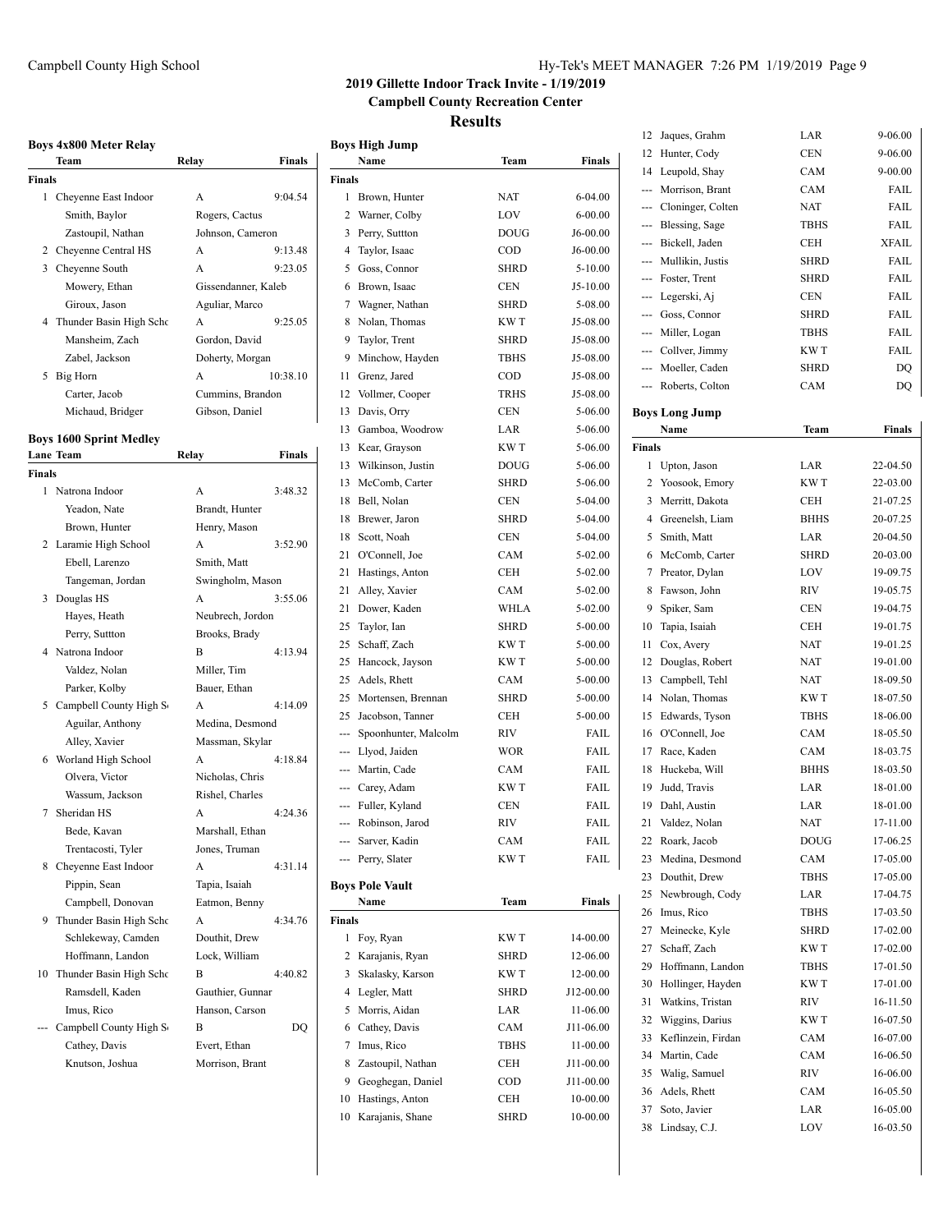|               | Team                                        | Relay               | <b>Finals</b> |
|---------------|---------------------------------------------|---------------------|---------------|
| <b>Finals</b> |                                             |                     |               |
|               | 1 Cheyenne East Indoor                      | A                   | 9:04.54       |
|               | Smith, Baylor                               | Rogers, Cactus      |               |
|               | Zastoupil, Nathan                           | Johnson, Cameron    |               |
|               | 2 Cheyenne Central HS                       | A                   | 9:13.48       |
|               | 3 Cheyenne South                            | A                   | 9:23.05       |
|               | Mowery, Ethan                               | Gissendanner, Kaleb |               |
|               | Giroux, Jason                               | Aguliar, Marco      |               |
|               | 4 Thunder Basin High Scho                   | A                   | 9:25.05       |
|               | Mansheim, Zach                              | Gordon, David       |               |
|               | Zabel, Jackson                              | Doherty, Morgan     |               |
|               | 5 Big Horn                                  | A                   | 10:38.10      |
|               | Carter, Jacob                               | Cummins, Brandon    |               |
|               | Michaud, Bridger                            | Gibson, Daniel      |               |
|               |                                             |                     |               |
|               | <b>Boys 1600 Sprint Medley</b><br>Lane Team | Relay               | <b>Finals</b> |
| <b>Finals</b> |                                             |                     |               |
| 1             | Natrona Indoor                              | A                   | 3:48.32       |
|               | Yeadon, Nate                                | Brandt, Hunter      |               |
|               | Brown, Hunter                               | Henry, Mason        |               |
|               | 2 Laramie High School                       | A                   | 3:52.90       |
|               | Ebell, Larenzo                              | Smith, Matt         |               |
|               | Tangeman, Jordan                            | Swingholm, Mason    |               |
|               | 3 Douglas HS                                | A                   | 3:55.06       |
|               | Hayes, Heath                                | Neubrech, Jordon    |               |
|               | Perry, Suttton                              | Brooks, Brady       |               |
|               | 4 Natrona Indoor                            | B                   | 4:13.94       |
|               | Valdez, Nolan                               | Miller, Tim         |               |
|               | Parker, Kolby                               | Bauer, Ethan        |               |
|               | 5 Campbell County High S                    | А                   | 4:14.09       |
|               | Aguilar, Anthony                            | Medina, Desmond     |               |
|               | Alley, Xavier                               | Massman, Skylar     |               |
|               | 6 Worland High School                       | A                   | 4:18.84       |
|               | Olvera, Victor                              | Nicholas, Chris     |               |
|               | Wassum, Jackson                             | Rishel, Charles     |               |
|               | 7 Sheridan HS                               | A                   | 4:24.36       |
|               | Bede, Kavan                                 | Marshall, Ethan     |               |
|               | Trentacosti, Tyler                          | Jones, Truman       |               |
|               | 8 Cheyenne East Indoor                      | А                   | 4:31.14       |
|               | Pippin, Sean                                | Tapia, Isaiah       |               |
|               | Campbell, Donovan                           | Eatmon, Benny       |               |
|               | Thunder Basin High Scho                     |                     |               |

Schlekeway, Camden Douthit, Drew Hoffmann, Landon Lock, William 10 Thunder Basin High School B 4:40.82 Ramsdell, Kaden Gauthier, Gunnar Imus, Rico Hanson, Carson --- Campbell County High S<sub>chool</sub> B DQ Cathey, Davis Evert, Ethan Knutson, Joshua Morrison, Brant

# **2019 Gillette Indoor Track Invite - 1/19/2019 Campbell County Recreation Center**

**Results**

|               | Boys High Jump                |             |                    | 12            | Jaques, Grahm                  | LAR         | 9-06.00     |
|---------------|-------------------------------|-------------|--------------------|---------------|--------------------------------|-------------|-------------|
|               | Name                          | Team        | Finals             | 12            | Hunter, Cody                   | <b>CEN</b>  | 9-06.00     |
| <b>Finals</b> |                               |             |                    | 14            | Leupold, Shay                  | <b>CAM</b>  | $9 - 00.00$ |
|               | 1 Brown, Hunter               | NAT         | $6 - 04.00$        | ---           | Morrison, Brant                | CAM         | FAIL        |
| 2             | Warner, Colby                 | LOV         | $6 - 00.00$        | ---           | Cloninger, Colten              | <b>NAT</b>  | FAIL        |
|               | 3 Perry, Suttton              | <b>DOUG</b> | J6-00.00           | ---           | Blessing, Sage                 | TBHS        | FAIL        |
| 4             | Taylor, Isaac                 | COD         | J6-00.00           | ---           | Bickell, Jaden                 | <b>CEH</b>  | XFAIL       |
| 5             | Goss, Connor                  | SHRD        | $5-10.00$          |               | Mullikin, Justis               | <b>SHRD</b> | FAIL        |
| 6             | Brown, Isaac                  | <b>CEN</b>  | J5-10.00           | ---           | Foster, Trent                  | <b>SHRD</b> | FAIL        |
| 7             | Wagner, Nathan                | SHRD        | 5-08.00            | ---           | Legerski, Aj                   | <b>CEN</b>  | FAIL        |
| 8             | Nolan, Thomas                 | KW T        | J5-08.00           | ---           | Goss, Connor                   | <b>SHRD</b> | FAIL        |
| 9             | Taylor, Trent                 | SHRD        | J5-08.00           | ---           | Miller, Logan                  | TBHS        | FAIL        |
| 9             | Minchow, Hayden               | TBHS        | J5-08.00           | ---           | Collver, Jimmy                 | KW T        | <b>FAIL</b> |
| 11            | Grenz, Jared                  | COD         | J5-08.00           |               | Moeller, Caden                 | <b>SHRD</b> | DQ          |
| 12            | Vollmer, Cooper               | TRHS        | J5-08.00           | ---           | Roberts, Colton                | CAM         | DQ          |
| 13            | Davis, Orry                   | <b>CEN</b>  | 5-06.00            |               | <b>Boys Long Jump</b>          |             |             |
| 13            | Gamboa, Woodrow               | LAR         | 5-06.00            |               | Name                           | Team        | Finals      |
| 13            | Kear, Grayson                 | KW T        | 5-06.00            | <b>Finals</b> |                                |             |             |
| 13            | Wilkinson, Justin             | DOUG        | 5-06.00            | $\mathbf{1}$  | Upton, Jason                   | LAR         | 22-04.50    |
| 13            | McComb, Carter                | SHRD        | 5-06.00            | 2             | Yoosook, Emory                 | KW T        | 22-03.00    |
|               | 18 Bell, Nolan                | CEN         | 5-04.00            | 3             | Merritt, Dakota                | CEH         | 21-07.25    |
| 18            | Brewer, Jaron                 | <b>SHRD</b> |                    | 4             | Greenelsh, Liam                | <b>BHHS</b> | 20-07.25    |
|               |                               |             | 5-04.00            |               | Smith, Matt                    |             |             |
| 18            | Scott, Noah                   | CEN         | 5-04.00<br>5-02.00 | 5             |                                | LAR         | 20-04.50    |
| 21            | O'Connell, Joe                | CAM         |                    | 6             | McComb, Carter                 | <b>SHRD</b> | 20-03.00    |
| 21<br>21      | Hastings, Anton               | CEH         | 5-02.00            | 7             | Preator, Dylan<br>Fawson, John | <b>LOV</b>  | 19-09.75    |
|               | Alley, Xavier<br>Dower, Kaden | CAM         | 5-02.00            | 8             |                                | RIV         | 19-05.75    |
| 21<br>25      |                               | WHLA        | $5-02.00$          | 9             | Spiker, Sam                    | <b>CEN</b>  | 19-04.75    |
|               | Taylor, Ian                   | <b>SHRD</b> | 5-00.00            | 10            | Tapia, Isaiah                  | <b>CEH</b>  | 19-01.75    |
| 25            | Schaff, Zach                  | KW T        | 5-00.00            | 11            | Cox, Avery                     | NAT         | 19-01.25    |
| 25            | Hancock, Jayson               | KW T        | 5-00.00            | 12            | Douglas, Robert                | NAT         | 19-01.00    |
| 25            | Adels, Rhett                  | CAM         | 5-00.00            | 13            | Campbell, Tehl                 | NAT         | 18-09.50    |
| 25            | Mortensen, Brennan            | SHRD        | 5-00.00            | 14            | Nolan, Thomas                  | KW T        | 18-07.50    |
| 25            | Jacobson, Tanner              | <b>CEH</b>  | 5-00.00            | 15            | Edwards, Tyson                 | TBHS        | 18-06.00    |
|               | Spoonhunter, Malcolm          | RIV         | FAIL               | 16            | O'Connell, Joe                 | <b>CAM</b>  | 18-05.50    |
|               | Llyod, Jaiden                 | WOR         | FAIL               | 17            | Race, Kaden                    | CAM         | 18-03.75    |
|               | Martin, Cade                  | CAM         | FAIL               | 18            | Huckeba, Will                  | <b>BHHS</b> | 18-03.50    |
|               | Carey, Adam                   | KW T        | FAIL               | 19            | Judd, Travis                   | LAR         | 18-01.00    |
|               | --- Fuller, Kyland            | <b>CEN</b>  | FAIL               | 19            | Dahl, Austin                   | LAR         | 18-01.00    |
|               | --- Robinson, Jarod           | RIV         | FAIL               | 21            | Valdez, Nolan                  | <b>NAT</b>  | 17-11.00    |
|               | Sarver, Kadin                 | CAM         | FAIL               |               | 22 Roark, Jacob                | <b>DOUG</b> | 17-06.25    |
|               | Perry, Slater                 | KW T        | FAIL               | 23            | Medina, Desmond                | CAM         | 17-05.00    |
|               | <b>Boys Pole Vault</b>        |             |                    | 23            | Douthit, Drew                  | <b>TBHS</b> | 17-05.00    |
|               | Name                          | Team        | Finals             | 25            | Newbrough, Cody                | LAR         | 17-04.75    |
| Finals        |                               |             |                    | 26            | Imus, Rico                     | <b>TBHS</b> | 17-03.50    |
|               | 1 Foy, Ryan                   | KW T        | 14-00.00           | 27            | Meinecke, Kyle                 | SHRD        | 17-02.00    |
|               | 2 Karajanis, Ryan             | SHRD        | 12-06.00           | 27            | Schaff, Zach                   | KW T        | 17-02.00    |
| 3             | Skalasky, Karson              | KW T        | 12-00.00           | 29            | Hoffmann, Landon               | TBHS        | 17-01.50    |
|               | 4 Legler, Matt                | SHRD        | J12-00.00          | 30            | Hollinger, Hayden              | KW T        | 17-01.00    |
|               | 5 Morris, Aidan               | LAR         | 11-06.00           | 31            | Watkins, Tristan               | RIV         | 16-11.50    |
| 6             | Cathey, Davis                 | CAM         | J11-06.00          | 32            | Wiggins, Darius                | KW T        | 16-07.50    |
|               | 7 Imus, Rico                  | TBHS        | 11-00.00           | 33            | Keflinzein, Firdan             | CAM         | 16-07.00    |
| 8             | Zastoupil, Nathan             | CEH         | J11-00.00          | 34            | Martin, Cade                   | CAM         | 16-06.50    |
| 9             | Geoghegan, Daniel             | COD         | J11-00.00          | 35            | Walig, Samuel                  | RIV         | 16-06.00    |
| 10            | Hastings, Anton               | CEH         | 10-00.00           | 36            | Adels, Rhett                   | CAM         | 16-05.50    |
|               | 10 Karajanis, Shane           | SHRD        | 10-00.00           | 37            | Soto, Javier                   | LAR         | 16-05.00    |
|               |                               |             |                    | 38            | Lindsay, C.J.                  | LOV         | 16-03.50    |